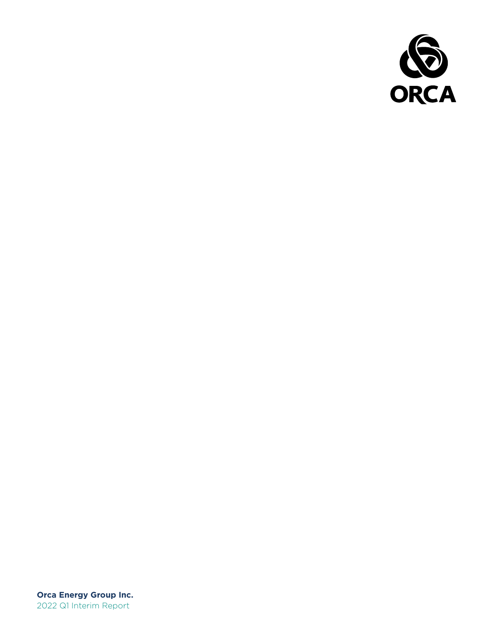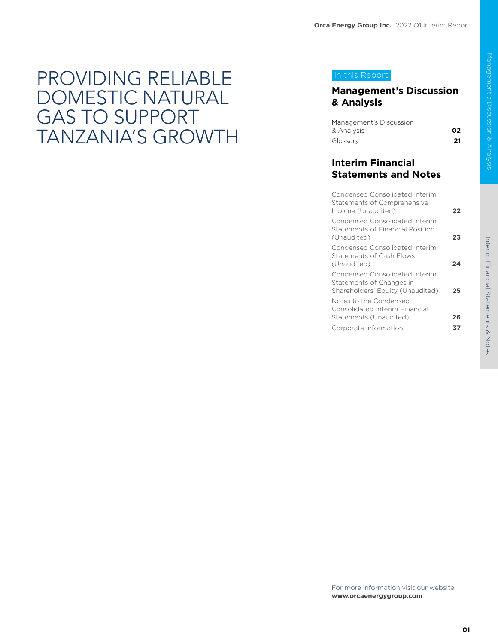### PROVIDING RELIABLE DOMESTIC NATURAL GAS TO SUPPORT TANZANIA'S GROWTH

### In this Report

### **Management's Discussion & Analysis**

| Management's Discussion |     |
|-------------------------|-----|
| & Analvsis              | ი2  |
| Glossary                | -21 |

### **Interim Financial Statements and Notes**

| Condensed Consolidated Interim<br>Statements of Comprehensive<br>Income (Unaudited)            | フフ |
|------------------------------------------------------------------------------------------------|----|
| Condensed Consolidated Interim<br>Statements of Financial Position<br>(Unaudited)              | 23 |
| Condensed Consolidated Interim<br>Statements of Cash Flows<br>(Unaudited)                      | 24 |
| Condensed Consolidated Interim<br>Statements of Changes in<br>Shareholders' Equity (Unaudited) | 25 |
| Notes to the Condensed<br>Consolidated Interim Financial<br>Statements (Unaudited)             | 26 |
| Corporate Information                                                                          |    |
|                                                                                                |    |

For more information visit our website: **www.orcaenergygroup.com**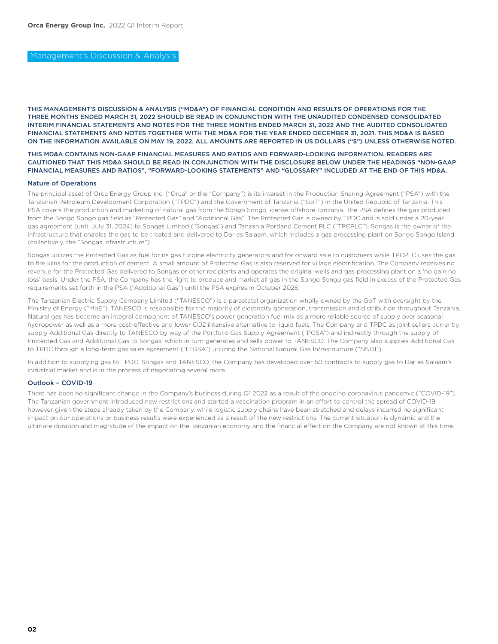### Management's Discussion & Analysis

THIS MANAGEMENT'S DISCUSSION & ANALYSIS ("MD&A") OF FINANCIAL CONDITION AND RESULTS OF OPERATIONS FOR THE THREE MONTHS ENDED MARCH 31, 2022 SHOULD BE READ IN CONJUNCTION WITH THE UNAUDITED CONDENSED CONSOLIDATED INTERIM FINANCIAL STATEMENTS AND NOTES FOR THE THREE MONTHS ENDED MARCH 31, 2022 AND THE AUDITED CONSOLIDATED FINANCIAL STATEMENTS AND NOTES TOGETHER WITH THE MD&A FOR THE YEAR ENDED DECEMBER 31, 2021. THIS MD&A IS BASED ON THE INFORMATION AVAILABLE ON MAY 19, 2022. ALL AMOUNTS ARE REPORTED IN US DOLLARS ("\$") UNLESS OTHERWISE NOTED.

### THIS MD&A CONTAINS NON-GAAP FINANCIAL MEASURES AND RATIOS AND FORWARD-LOOKING INFORMATION. READERS ARE CAUTIONED THAT THIS MD&A SHOULD BE READ IN CONJUNCTION WITH THE DISCLOSURE BELOW UNDER THE HEADINGS "NON-GAAP FINANCIAL MEASURES AND RATIOS", "FORWARD-LOOKING STATEMENTS" AND "GLOSSARY" INCLUDED AT THE END OF THIS MD&A.

### Nature of Operations

The principal asset of Orca Energy Group Inc. ("Orca" or the "Company") is its interest in the Production Sharing Agreement ("PSA") with the Tanzanian Petroleum Development Corporation ("TPDC") and the Government of Tanzania ("GoT") in the United Republic of Tanzania. This PSA covers the production and marketing of natural gas from the Songo Songo license offshore Tanzania. The PSA defines the gas produced from the Songo Songo gas field as "Protected Gas" and "Additional Gas". The Protected Gas is owned by TPDC and is sold under a 20-year gas agreement (until July 31, 2024) to Songas Limited ("Songas") and Tanzania Portland Cement PLC ("TPCPLC"). Songas is the owner of the infrastructure that enables the gas to be treated and delivered to Dar es Salaam, which includes a gas processing plant on Songo Songo Island (collectively, the "Songas Infrastructure").

Songas utilizes the Protected Gas as fuel for its gas turbine electricity generators and for onward sale to customers while TPCPLC uses the gas to fire kilns for the production of cement. A small amount of Protected Gas is also reserved for village electrification. The Company receives no revenue for the Protected Gas delivered to Songas or other recipients and operates the original wells and gas processing plant on a 'no gain no loss' basis. Under the PSA, the Company has the right to produce and market all gas in the Songo Songo gas field in excess of the Protected Gas requirements set forth in the PSA ("Additional Gas") until the PSA expires in October 2026.

The Tanzanian Electric Supply Company Limited ("TANESCO") is a parastatal organization wholly owned by the GoT with oversight by the Ministry of Energy ("MoE"). TANESCO is responsible for the majority of electricity generation, transmission and distribution throughout Tanzania. Natural gas has become an integral component of TANESCO's power generation fuel mix as a more reliable source of supply over seasonal hydropower as well as a more cost-effective and lower CO2 intensive alternative to liquid fuels. The Company and TPDC as joint sellers currently supply Additional Gas directly to TANESCO by way of the Portfolio Gas Supply Agreement ("PGSA") and indirectly through the supply of Protected Gas and Additional Gas to Songas, which in turn generates and sells power to TANESCO. The Company also supplies Additional Gas to TPDC through a long-term gas sales agreement ("LTGSA") utilizing the National Natural Gas Infrastructure ("NNGI").

In addition to supplying gas to TPDC, Songas and TANESCO, the Company has developed over 50 contracts to supply gas to Dar es Salaam's industrial market and is in the process of negotiating several more.

### Outlook – COVID-19

There has been no significant change in the Company's business during Q1 2022 as a result of the ongoing coronavirus pandemic ("COVID-19"). The Tanzanian government introduced new restrictions and started a vaccination program in an effort to control the spread of COVID-19 however given the steps already taken by the Company, while logistic supply chains have been stretched and delays incurred no significant impact on our operations or business results were experienced as a result of the new restrictions. The current situation is dynamic and the ultimate duration and magnitude of the impact on the Tanzanian economy and the financial effect on the Company are not known at this time.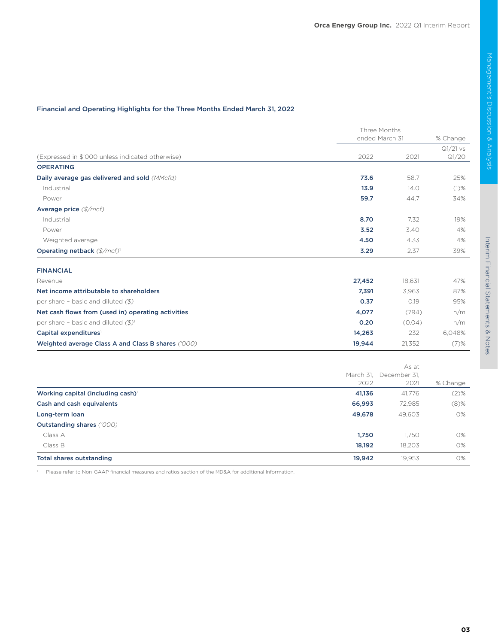### Financial and Operating Highlights for the Three Months Ended March 31, 2022

|                                                    |        | Three Months<br>ended March 31 |                     |
|----------------------------------------------------|--------|--------------------------------|---------------------|
| (Expressed in \$'000 unless indicated otherwise)   | 2022   | 2021                           | $Q1/21$ vs<br>Q1/20 |
| <b>OPERATING</b>                                   |        |                                |                     |
| Daily average gas delivered and sold (MMcfd)       | 73.6   | 58.7                           | 25%                 |
| Industrial                                         | 13.9   | 14.0                           | $(1)$ %             |
| Power                                              | 59.7   | 44.7                           | 34%                 |
| Average price (\$/mcf)                             |        |                                |                     |
| Industrial                                         | 8.70   | 7.32                           | 19%                 |
| Power                                              | 3.52   | 3.40                           | 4%                  |
| Weighted average                                   | 4.50   | 4.33                           | 4%                  |
| Operating netback (\$/mcf)                         | 3.29   | 2.37                           | 39%                 |
| <b>FINANCIAL</b>                                   |        |                                |                     |
| Revenue                                            | 27,452 | 18.631                         | 47%                 |
| Net income attributable to shareholders            | 7,391  | 3,963                          | 87%                 |
| per share - basic and diluted $(\text{\$})$        | 0.37   | 0.19                           | 95%                 |
| Net cash flows from (used in) operating activities | 4,077  | (794)                          | n/m                 |
| per share - basic and diluted $(\frac{2}{3})^1$    | 0.20   | (0.04)                         | n/m                 |
| Capital expenditures <sup>1</sup>                  | 14,263 | 232                            | 6,048%              |
| Weighted average Class A and Class B shares ('000) | 19,944 | 21,352                         | $(7)$ %             |

|                                  | As at  |                        |          |
|----------------------------------|--------|------------------------|----------|
|                                  |        | March 31, December 31, |          |
|                                  | 2022   | 2021                   | % Change |
| Working capital (including cash) | 41,136 | 41,776                 | (2)%     |
| Cash and cash equivalents        | 66,993 | 72,985                 | $(8)\%$  |
| Long-term loan                   | 49,678 | 49,603                 | 0%       |
| <b>Outstanding shares ('000)</b> |        |                        |          |
| Class A                          | 1,750  | 1.750                  | 0%       |
| Class B                          | 18,192 | 18.203                 | 0%       |
| <b>Total shares outstanding</b>  | 19,942 | 19,953                 | 0%       |

<sup>1</sup> Please refer to Non-GAAP financial measures and ratios section of the MD&A for additional Information.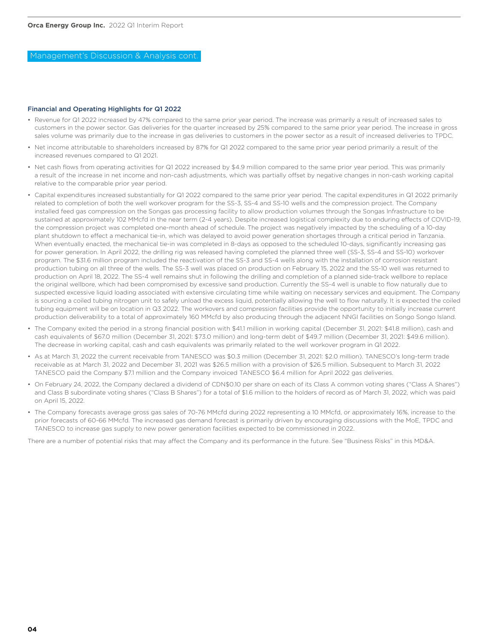Management's Discussion & Analysis cont.

### Financial and Operating Highlights for Q1 2022

- Revenue for Q1 2022 increased by 47% compared to the same prior year period. The increase was primarily a result of increased sales to customers in the power sector. Gas deliveries for the quarter increased by 25% compared to the same prior year period. The increase in gross sales volume was primarily due to the increase in gas deliveries to customers in the power sector as a result of increased deliveries to TPDC.
- Net income attributable to shareholders increased by 87% for Q1 2022 compared to the same prior year period primarily a result of the increased revenues compared to Q1 2021.
- Net cash flows from operating activities for Q1 2022 increased by \$4.9 million compared to the same prior year period. This was primarily a result of the increase in net income and non-cash adjustments, which was partially offset by negative changes in non-cash working capital relative to the comparable prior year period.
- Capital expenditures increased substantially for Q1 2022 compared to the same prior year period. The capital expenditures in Q1 2022 primarily related to completion of both the well workover program for the SS-3, SS-4 and SS-10 wells and the compression project. The Company installed feed gas compression on the Songas gas processing facility to allow production volumes through the Songas Infrastructure to be sustained at approximately 102 MMcfd in the near term (2-4 years). Despite increased logistical complexity due to enduring effects of COVID-19, the compression project was completed one-month ahead of schedule. The project was negatively impacted by the scheduling of a 10-day plant shutdown to effect a mechanical tie-in, which was delayed to avoid power generation shortages through a critical period in Tanzania. When eventually enacted, the mechanical tie-in was completed in 8-days as opposed to the scheduled 10-days, significantly increasing gas for power generation. In April 2022, the drilling rig was released having completed the planned three well (SS-3, SS-4 and SS-10) workover program. The \$31.6 million program included the reactivation of the SS-3 and SS-4 wells along with the installation of corrosion resistant production tubing on all three of the wells. The SS-3 well was placed on production on February 15, 2022 and the SS-10 well was returned to production on April 18, 2022. The SS-4 well remains shut in following the drilling and completion of a planned side-track wellbore to replace the original wellbore, which had been compromised by excessive sand production. Currently the SS-4 well is unable to flow naturally due to suspected excessive liquid loading associated with extensive circulating time while waiting on necessary services and equipment. The Company is sourcing a coiled tubing nitrogen unit to safely unload the excess liquid, potentially allowing the well to flow naturally. It is expected the coiled tubing equipment will be on location in Q3 2022. The workovers and compression facilities provide the opportunity to initially increase current production deliverability to a total of approximately 160 MMcfd by also producing through the adjacent NNGI facilities on Songo Songo Island.
- The Company exited the period in a strong financial position with \$41.1 million in working capital (December 31, 2021: \$41.8 million), cash and cash equivalents of \$67.0 million (December 31, 2021: \$73.0 million) and long-term debt of \$49.7 million (December 31, 2021: \$49.6 million). The decrease in working capital, cash and cash equivalents was primarily related to the well workover program in Q1 2022.
- As at March 31, 2022 the current receivable from TANESCO was \$0.3 million (December 31, 2021: \$2.0 million). TANESCO's long-term trade receivable as at March 31, 2022 and December 31, 2021 was \$26.5 million with a provision of \$26.5 million. Subsequent to March 31, 2022 TANESCO paid the Company \$7.1 million and the Company invoiced TANESCO \$6.4 million for April 2022 gas deliveries.
- On February 24, 2022, the Company declared a dividend of CDN\$0.10 per share on each of its Class A common voting shares ("Class A Shares") and Class B subordinate voting shares ("Class B Shares") for a total of \$1.6 million to the holders of record as of March 31, 2022, which was paid on April 15, 2022.
- The Company forecasts average gross gas sales of 70-76 MMcfd during 2022 representing a 10 MMcfd, or approximately 16%, increase to the prior forecasts of 60-66 MMcfd. The increased gas demand forecast is primarily driven by encouraging discussions with the MoE, TPDC and TANESCO to increase gas supply to new power generation facilities expected to be commissioned in 2022.

There are a number of potential risks that may affect the Company and its performance in the future. See "Business Risks" in this MD&A.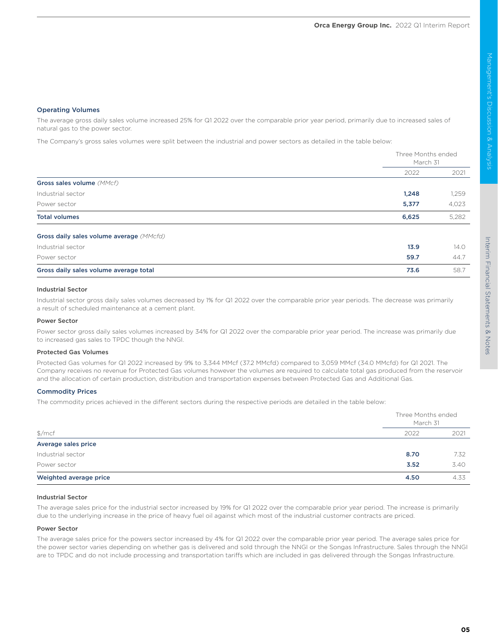### Operating Volumes

The average gross daily sales volume increased 25% for Q1 2022 over the comparable prior year period, primarily due to increased sales of natural gas to the power sector.

The Company's gross sales volumes were split between the industrial and power sectors as detailed in the table below:

|                                          |       | Three Months ended<br>March 31 |  |
|------------------------------------------|-------|--------------------------------|--|
|                                          | 2022  | 2021                           |  |
| Gross sales volume (MMcf)                |       |                                |  |
| Industrial sector                        | 1,248 | 1,259                          |  |
| Power sector                             | 5,377 | 4,023                          |  |
| <b>Total volumes</b>                     | 6,625 | 5,282                          |  |
| Gross daily sales volume average (MMcfd) |       |                                |  |
| Industrial sector                        | 13.9  | 14.0                           |  |
| Power sector                             | 59.7  | 44.7                           |  |
| Gross daily sales volume average total   | 73.6  | 58.7                           |  |

### Industrial Sector

Industrial sector gross daily sales volumes decreased by 1% for Q1 2022 over the comparable prior year periods. The decrease was primarily a result of scheduled maintenance at a cement plant.

### Power Sector

Power sector gross daily sales volumes increased by 34% for Q1 2022 over the comparable prior year period. The increase was primarily due to increased gas sales to TPDC though the NNGI.

### Protected Gas Volumes

Protected Gas volumes for Q1 2022 increased by 9% to 3,344 MMcf (37.2 MMcfd) compared to 3,059 MMcf (34.0 MMcfd) for Q1 2021. The Company receives no revenue for Protected Gas volumes however the volumes are required to calculate total gas produced from the reservoir and the allocation of certain production, distribution and transportation expenses between Protected Gas and Additional Gas.

### Commodity Prices

The commodity prices achieved in the different sectors during the respective periods are detailed in the table below:

| $\frac{m}{2}$          |      | Three Months ended<br>March 31 |  |
|------------------------|------|--------------------------------|--|
|                        | 2022 | 2021                           |  |
| Average sales price    |      |                                |  |
| Industrial sector      | 8.70 | 7.32                           |  |
| Power sector           | 3.52 | 3.40                           |  |
| Weighted average price | 4.50 | 4.33                           |  |

### Industrial Sector

The average sales price for the industrial sector increased by 19% for Q1 2022 over the comparable prior year period. The increase is primarily due to the underlying increase in the price of heavy fuel oil against which most of the industrial customer contracts are priced.

### Power Sector

The average sales price for the powers sector increased by 4% for Q1 2022 over the comparable prior year period. The average sales price for the power sector varies depending on whether gas is delivered and sold through the NNGI or the Songas Infrastructure. Sales through the NNGI are to TPDC and do not include processing and transportation tariffs which are included in gas delivered through the Songas Infrastructure.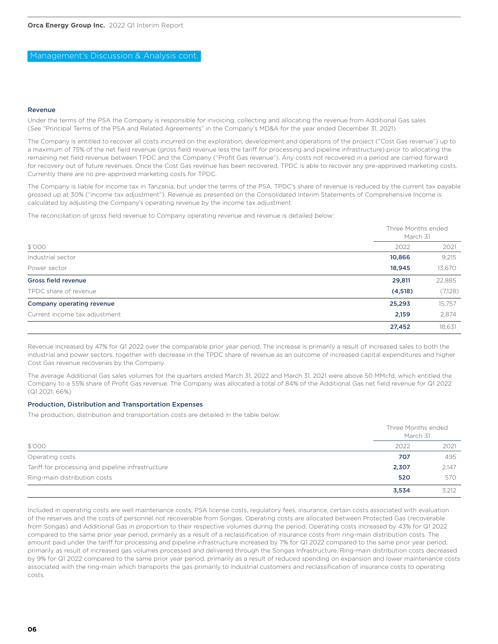Management's Discussion & Analysis cont.

### Revenue

Under the terms of the PSA the Company is responsible for invoicing, collecting and allocating the revenue from Additional Gas sales (See "Principal Terms of the PSA and Related Agreements" in the Company's MD&A for the year ended December 31, 2021).

The Company is entitled to recover all costs incurred on the exploration, development and operations of the project ("Cost Gas revenue") up to a maximum of 75% of the net field revenue (gross field revenue less the tariff for processing and pipeline infrastructure) prior to allocating the remaining net field revenue between TPDC and the Company ("Profit Gas revenue"). Any costs not recovered in a period are carried forward for recovery out of future revenues. Once the Cost Gas revenue has been recovered, TPDC is able to recover any pre-approved marketing costs. Currently there are no pre-approved marketing costs for TPDC.

The Company is liable for income tax in Tanzania, but under the terms of the PSA, TPDC's share of revenue is reduced by the current tax payable grossed up at 30% ("income tax adjustment"). Revenue as presented on the Consolidated Interim Statements of Comprehensive Income is calculated by adjusting the Company's operating revenue by the income tax adjustment.

The reconciliation of gross field revenue to Company operating revenue and revenue is detailed below:

|                               |          | Three Months ended<br>March 31 |  |
|-------------------------------|----------|--------------------------------|--|
| \$'000                        | 2022     | 2021                           |  |
| Industrial sector             | 10,866   | 9,215                          |  |
| Power sector                  | 18,945   | 13,670                         |  |
| <b>Gross field revenue</b>    | 29,811   | 22,885                         |  |
| TPDC share of revenue         | (4, 518) | (7,128)                        |  |
| Company operating revenue     | 25,293   | 15,757                         |  |
| Current income tax adjustment | 2,159    | 2,874                          |  |
|                               | 27,452   | 18,631                         |  |

Revenue increased by 47% for Q1 2022 over the comparable prior year period. The increase is primarily a result of increased sales to both the industrial and power sectors, together with decrease in the TPDC share of revenue as an outcome of increased capital expenditures and higher Cost Gas revenue recoveries by the Company.

The average Additional Gas sales volumes for the quarters ended March 31, 2022 and March 31, 2021 were above 50 MMcfd, which entitled the Company to a 55% share of Profit Gas revenue. The Company was allocated a total of 84% of the Additional Gas net field revenue for Q1 2022 (Q1 2021: 66%)

### Production, Distribution and Transportation Expenses

The production, distribution and transportation costs are detailed in the table below:

| \$'000                                            |       | Three Months ended<br>March 31 |  |
|---------------------------------------------------|-------|--------------------------------|--|
|                                                   | 2022  | 2021                           |  |
| Operating costs                                   | 707   | 495                            |  |
| Tariff for processing and pipeline infrastructure | 2,307 | 2,147                          |  |
| Ring-main distribution costs                      | 520   | 570                            |  |
|                                                   | 3,534 | 3.212                          |  |

Included in operating costs are well maintenance costs, PSA license costs, regulatory fees, insurance, certain costs associated with evaluation of the reserves and the costs of personnel not recoverable from Songas. Operating costs are allocated between Protected Gas (recoverable from Songas) and Additional Gas in proportion to their respective volumes during the period. Operating costs increased by 43% for Q1 2022 compared to the same prior year period, primarily as a result of a reclassification of insurance costs from ring-main distribution costs. The amount paid under the tariff for processing and pipeline infrastructure increased by 7% for Q1 2022 compared to the same prior year period, primarily as result of increased gas volumes processed and delivered through the Songas Infrastructure. Ring-main distribution costs decreased by 9% for Q1 2022 compared to the same prior year period, primarily as a result of reduced spending on expansion and lower maintenance costs associated with the ring-main which transports the gas primarily to industrial customers and reclassification of insurance costs to operating costs.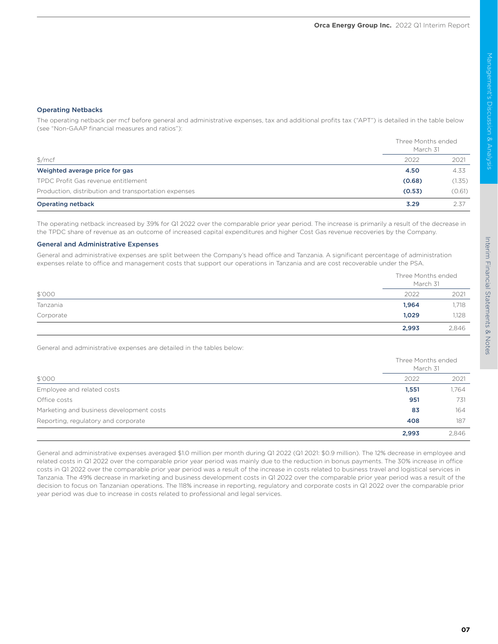Operating Netbacks

The operating netback per mcf before general and administrative expenses, tax and additional profits tax ("APT") is detailed in the table below (see "Non-GAAP financial measures and ratios"):

|                                                      | Three Months ended<br>March 31 |        |
|------------------------------------------------------|--------------------------------|--------|
| \$/mcf                                               | 2022                           | 2021   |
| Weighted average price for gas                       | 4.50                           | 4.33   |
| TPDC Profit Gas revenue entitlement                  | (0.68)                         | (1.35) |
| Production, distribution and transportation expenses | (0.53)                         | (0.61) |
| <b>Operating netback</b>                             | 3.29                           | 2.37   |

The operating netback increased by 39% for Q1 2022 over the comparable prior year period. The increase is primarily a result of the decrease in the TPDC share of revenue as an outcome of increased capital expenditures and higher Cost Gas revenue recoveries by the Company.

### General and Administrative Expenses

General and administrative expenses are split between the Company's head office and Tanzania. A significant percentage of administration expenses relate to office and management costs that support our operations in Tanzania and are cost recoverable under the PSA.

| \$'000    |       | Three Months ended<br>March 31 |  |
|-----------|-------|--------------------------------|--|
|           | 2022  | 2021                           |  |
| Tanzania  | 1,964 | 1,718                          |  |
| Corporate | 1,029 | 1,128                          |  |
|           | 2,993 | 2,846                          |  |

General and administrative expenses are detailed in the tables below:

| \$'000                                   |       | Three Months ended<br>March 31 |  |
|------------------------------------------|-------|--------------------------------|--|
|                                          | 2022  | 2021                           |  |
| Employee and related costs               | 1,551 | 1,764                          |  |
| Office costs                             | 951   | 731                            |  |
| Marketing and business development costs | 83    | 164                            |  |
| Reporting, regulatory and corporate      | 408   | 187                            |  |
|                                          | 2,993 | 2,846                          |  |

General and administrative expenses averaged \$1.0 million per month during Q1 2022 (Q1 2021: \$0.9 million). The 12% decrease in employee and related costs in Q1 2022 over the comparable prior year period was mainly due to the reduction in bonus payments. The 30% increase in office costs in Q1 2022 over the comparable prior year period was a result of the increase in costs related to business travel and logistical services in Tanzania. The 49% decrease in marketing and business development costs in Q1 2022 over the comparable prior year period was a result of the decision to focus on Tanzanian operations. The 118% increase in reporting, regulatory and corporate costs in Q1 2022 over the comparable prior year period was due to increase in costs related to professional and legal services.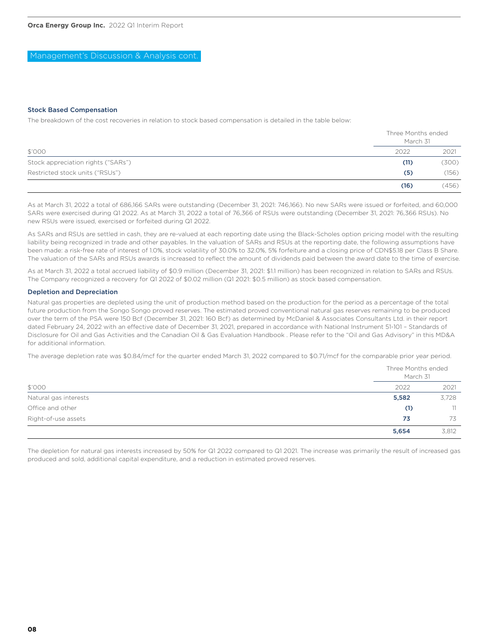Management's Discussion & Analysis cont.

### Stock Based Compensation

The breakdown of the cost recoveries in relation to stock based compensation is detailed in the table below:

| \$'000                             | Three Months ended<br>March 31 |       |
|------------------------------------|--------------------------------|-------|
|                                    | 2022                           | 2021  |
| Stock appreciation rights ("SARs") | (11)                           | (300) |
| Restricted stock units ("RSUs")    | (5)                            | (156) |
|                                    | (16)                           | (456) |

As at March 31, 2022 a total of 686,166 SARs were outstanding (December 31, 2021: 746,166). No new SARs were issued or forfeited, and 60,000 SARs were exercised during Q1 2022. As at March 31, 2022 a total of 76,366 of RSUs were outstanding (December 31, 2021: 76,366 RSUs). No new RSUs were issued, exercised or forfeited during Q1 2022.

As SARs and RSUs are settled in cash, they are re-valued at each reporting date using the Black-Scholes option pricing model with the resulting liability being recognized in trade and other payables. In the valuation of SARs and RSUs at the reporting date, the following assumptions have been made: a risk-free rate of interest of 1.0%, stock volatility of 30.0% to 32.0%, 5% forfeiture and a closing price of CDN\$5.18 per Class B Share. The valuation of the SARs and RSUs awards is increased to reflect the amount of dividends paid between the award date to the time of exercise.

As at March 31, 2022 a total accrued liability of \$0.9 million (December 31, 2021: \$1.1 million) has been recognized in relation to SARs and RSUs. The Company recognized a recovery for Q1 2022 of \$0.02 million (Q1 2021: \$0.5 million) as stock based compensation.

### Depletion and Depreciation

Natural gas properties are depleted using the unit of production method based on the production for the period as a percentage of the total future production from the Songo Songo proved reserves. The estimated proved conventional natural gas reserves remaining to be produced over the term of the PSA were 150 Bcf (December 31, 2021: 160 Bcf) as determined by McDaniel & Associates Consultants Ltd. in their report dated February 24, 2022 with an effective date of December 31, 2021, prepared in accordance with National Instrument 51-101 – Standards of Disclosure for Oil and Gas Activities and the Canadian Oil & Gas Evaluation Handbook . Please refer to the "Oil and Gas Advisory" in this MD&A for additional information.

The average depletion rate was \$0.84/mcf for the quarter ended March 31, 2022 compared to \$0.71/mcf for the comparable prior year period.

|                       | Three Months ended<br>March 31 |       |
|-----------------------|--------------------------------|-------|
| \$'000                | 2022                           | 2021  |
| Natural gas interests | 5,582                          | 3,728 |
| Office and other      | (1)                            | 11    |
| Right-of-use assets   | 73                             | 73    |
|                       | 5,654                          | 3.812 |

The depletion for natural gas interests increased by 50% for Q1 2022 compared to Q1 2021. The increase was primarily the result of increased gas produced and sold, additional capital expenditure, and a reduction in estimated proved reserves.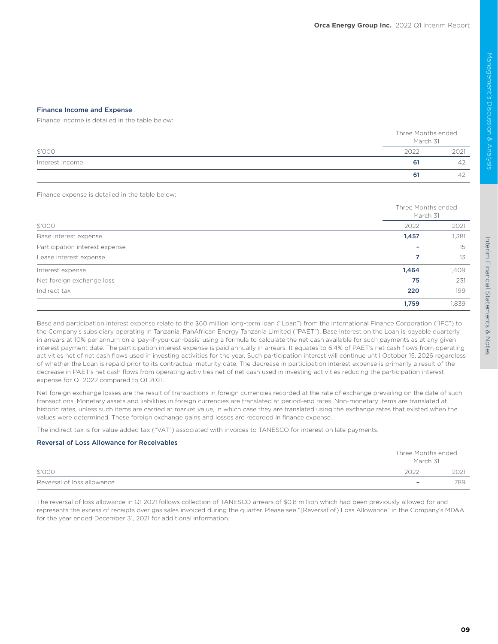### Finance Income and Expense

Finance income is detailed in the table below:

|                 |      | Three Months ended<br>March 31 |
|-----------------|------|--------------------------------|
| \$'000          | 2022 | 2021                           |
| Interest income | -61  | 42                             |
|                 | 61   | ↵                              |

Finance expense is detailed in the table below:

| \$'000                         |       | Three Months ended<br>March 31 |  |
|--------------------------------|-------|--------------------------------|--|
|                                | 2022  | 2021                           |  |
| Base interest expense          | 1,457 | 1,381                          |  |
| Participation interest expense |       | 15                             |  |
| Lease interest expense         | 7     | 13                             |  |
| Interest expense               | 1,464 | 1,409                          |  |
| Net foreign exchange loss      | 75    | 231                            |  |
| Indirect tax                   | 220   | 199                            |  |
|                                | 1,759 | 1,839                          |  |

Base and participation interest expense relate to the \$60 million long-term loan ("Loan") from the International Finance Corporation ("IFC") to the Company's subsidiary operating in Tanzania, PanAfrican Energy Tanzania Limited ("PAET"). Base interest on the Loan is payable quarterly in arrears at 10% per annum on a 'pay-if-you-can-basis' using a formula to calculate the net cash available for such payments as at any given interest payment date. The participation interest expense is paid annually in arrears. It equates to 6.4% of PAET's net cash flows from operating activities net of net cash flows used in investing activities for the year. Such participation interest will continue until October 15, 2026 regardless of whether the Loan is repaid prior to its contractual maturity date. The decrease in participation interest expense is primarily a result of the decrease in PAET's net cash flows from operating activities net of net cash used in investing activities reducing the participation interest expense for Q1 2022 compared to Q1 2021.

Net foreign exchange losses are the result of transactions in foreign currencies recorded at the rate of exchange prevailing on the date of such transactions. Monetary assets and liabilities in foreign currencies are translated at period-end rates. Non-monetary items are translated at historic rates, unless such items are carried at market value, in which case they are translated using the exchange rates that existed when the values were determined. These foreign exchange gains and losses are recorded in finance expense.

The indirect tax is for value added tax ("VAT") associated with invoices to TANESCO for interest on late payments.

### Reversal of Loss Allowance for Receivables

|                            | Three Months ended       |      |
|----------------------------|--------------------------|------|
|                            | March 31                 |      |
| \$'000                     | 2022                     | 2021 |
| Reversal of loss allowance | $\overline{\phantom{a}}$ | 789  |

The reversal of loss allowance in Q1 2021 follows collection of TANESCO arrears of \$0.8 million which had been previously allowed for and represents the excess of receipts over gas sales invoiced during the quarter. Please see "(Reversal of) Loss Allowance" in the Company's MD&A for the year ended December 31, 2021 for additional information.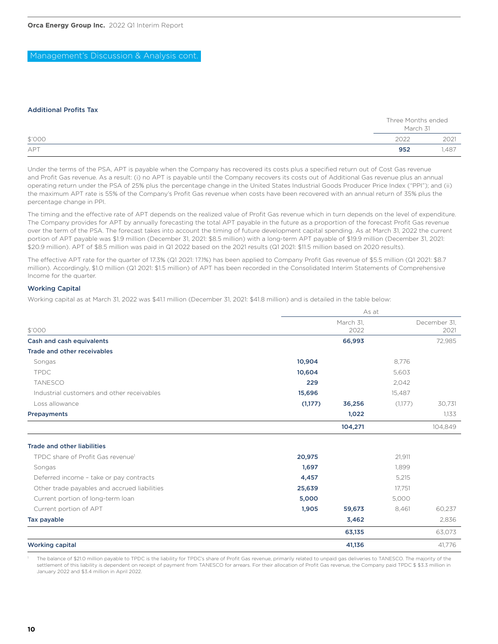Management's Discussion & Analysis cont.

### Additional Profits Tax

|            |      | Three Months ended<br>March 31 |
|------------|------|--------------------------------|
| \$'000     | 2022 | 2021                           |
| <b>APT</b> | 952  | <b>.487</b>                    |

Under the terms of the PSA, APT is payable when the Company has recovered its costs plus a specified return out of Cost Gas revenue and Profit Gas revenue. As a result: (i) no APT is payable until the Company recovers its costs out of Additional Gas revenue plus an annual operating return under the PSA of 25% plus the percentage change in the United States Industrial Goods Producer Price Index ("PPI"); and (ii) the maximum APT rate is 55% of the Company's Profit Gas revenue when costs have been recovered with an annual return of 35% plus the percentage change in PPI.

The timing and the effective rate of APT depends on the realized value of Profit Gas revenue which in turn depends on the level of expenditure. The Company provides for APT by annually forecasting the total APT payable in the future as a proportion of the forecast Profit Gas revenue over the term of the PSA. The forecast takes into account the timing of future development capital spending. As at March 31, 2022 the current portion of APT payable was \$1.9 million (December 31, 2021: \$8.5 million) with a long-term APT payable of \$19.9 million (December 31, 2021: \$20.9 million). APT of \$8.5 million was paid in Q1 2022 based on the 2021 results (Q1 2021: \$11.5 million based on 2020 results).

The effective APT rate for the quarter of 17.3% (Q1 2021: 17.1%) has been applied to Company Profit Gas revenue of \$5.5 million (Q1 2021: \$8.7 million). Accordingly, \$1.0 million (Q1 2021: \$1.5 million) of APT has been recorded in the Consolidated Interim Statements of Comprehensive Income for the quarter.

### Working Capital

Working capital as at March 31, 2022 was \$41.1 million (December 31, 2021: \$41.8 million) and is detailed in the table below:

|                                              | As at   |           |         |              |
|----------------------------------------------|---------|-----------|---------|--------------|
|                                              |         | March 31, |         | December 31, |
| \$'000                                       |         | 2022      |         | 2021         |
| Cash and cash equivalents                    |         | 66,993    |         | 72,985       |
| <b>Trade and other receivables</b>           |         |           |         |              |
| Songas                                       | 10,904  |           | 8,776   |              |
| <b>TPDC</b>                                  | 10,604  |           | 5,603   |              |
| <b>TANESCO</b>                               | 229     |           | 2,042   |              |
| Industrial customers and other receivables   | 15,696  |           | 15,487  |              |
| Loss allowance                               | (1,177) | 36,256    | (1,177) | 30,731       |
| Prepayments                                  |         | 1,022     |         | 1,133        |
|                                              |         | 104,271   |         | 104,849      |
| <b>Trade and other liabilities</b>           |         |           |         |              |
| TPDC share of Profit Gas revenuel            | 20,975  |           | 21.911  |              |
| Songas                                       | 1,697   |           | 1.899   |              |
| Deferred income - take or pay contracts      | 4,457   |           | 5,215   |              |
| Other trade payables and accrued liabilities | 25,639  |           | 17,751  |              |
| Current portion of long-term loan            | 5,000   |           | 5,000   |              |
| Current portion of APT                       | 1,905   | 59,673    | 8,461   | 60,237       |
| Tax payable                                  |         | 3,462     |         | 2,836        |
|                                              |         | 63,135    |         | 63,073       |
| <b>Working capital</b>                       |         | 41,136    |         | 41,776       |

The balance of \$21.0 million payable to TPDC is the liability for TPDC's share of Profit Gas revenue, primarily related to unpaid gas deliveries to TANESCO. The majority of the settlement of this liability is dependent on receipt of payment from TANESCO for arrears. For their allocation of Profit Gas revenue, the Company paid TPDC \$ \$3.3 million in January 2022 and \$3.4 million in April 2022.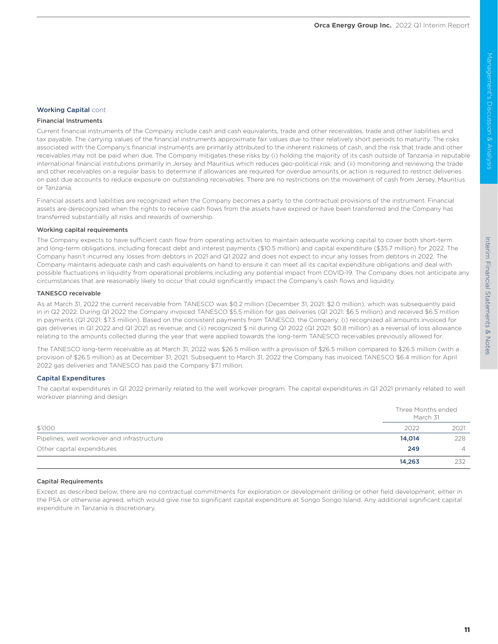### Interim Financial Statements & Interim Financial Statements & NotesNotes

### Working Capital cont

### Financial Instruments

Current financial instruments of the Company include cash and cash equivalents, trade and other receivables, trade and other liabilities and tax payable. The carrying values of the financial instruments approximate fair values due to their relatively short periods to maturity. The risks associated with the Company's financial instruments are primarily attributed to the inherent riskiness of cash, and the risk that trade and other receivables may not be paid when due. The Company mitigates these risks by (i) holding the majority of its cash outside of Tanzania in reputable international financial institutions primarily in Jersey and Mauritius which reduces geo-political risk; and (ii) monitoring and reviewing the trade and other receivables on a regular basis to determine if allowances are required for overdue amounts or action is required to restrict deliveries on past due accounts to reduce exposure on outstanding receivables. There are no restrictions on the movement of cash from Jersey, Mauritius or Tanzania.

Financial assets and liabilities are recognized when the Company becomes a party to the contractual provisions of the instrument. Financial assets are derecognized when the rights to receive cash flows from the assets have expired or have been transferred and the Company has transferred substantially all risks and rewards of ownership.

### Working capital requirements

The Company expects to have sufficient cash flow from operating activities to maintain adequate working capital to cover both short-term and long-term obligations, including forecast debt and interest payments (\$10.5 million) and capital expenditure (\$35.7 million) for 2022. The Company hasn't incurred any losses from debtors in 2021 and Q1 2022 and does not expect to incur any losses from debtors in 2022. The Company maintains adequate cash and cash equivalents on hand to ensure it can meet all its capital expenditure obligations and deal with possible fluctuations in liquidity from operational problems including any potential impact from COVID-19. The Company does not anticipate any circumstances that are reasonably likely to occur that could significantly impact the Company's cash flows and liquidity.

### TANESCO receivable

As at March 31, 2022 the current receivable from TANESCO was \$0.2 million (December 31, 2021: \$2.0 million), which was subsequently paid in in Q2 2022. During Q1 2022 the Company invoiced TANESCO \$5.5 million for gas deliveries (Q1 2021: \$6.5 million) and received \$6.5 million in payments (Q1 2021: \$7.3 million). Based on the consistent payments from TANESCO, the Company: (i) recognized all amounts invoiced for gas deliveries in Q1 2022 and Q1 2021 as revenue; and (ii) recognized \$ nil during Q1 2022 (Q1 2021: \$0.8 million) as a reversal of loss allowance relating to the amounts collected during the year that were applied towards the long-term TANESCO receivables previously allowed for.

The TANESCO long-term receivable as at March 31, 2022 was \$26.5 million with a provision of \$26.5 million compared to \$26.5 million (with a provision of \$26.5 million) as at December 31, 2021. Subsequent to March 31, 2022 the Company has invoiced TANESCO \$6.4 million for April 2022 gas deliveries and TANESCO has paid the Company \$7.1 million.

### Capital Expenditures

The capital expenditures in Q1 2022 primarily related to the well workover program. The capital expenditures in Q1 2021 primarily related to well workover planning and design.

|                                             |        | Three Months ended<br>March 31 |
|---------------------------------------------|--------|--------------------------------|
| \$'000                                      | 2022   | 2021                           |
| Pipelines, well workover and infrastructure | 14,014 | 228                            |
| Other capital expenditures                  | 249    | 4                              |
|                                             | 14,263 | 232                            |

### Capital Requirements

Except as described below, there are no contractual commitments for exploration or development drilling or other field development, either in the PSA or otherwise agreed, which would give rise to significant capital expenditure at Songo Songo Island. Any additional significant capital expenditure in Tanzania is discretionary.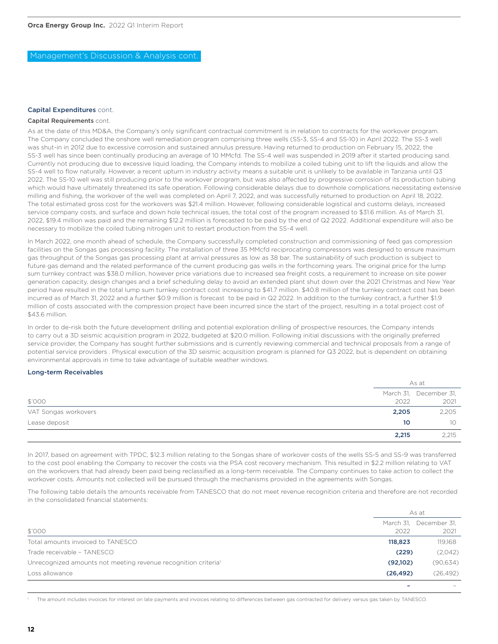### Capital Expenditures cont.

### Capital Requirements cont.

As at the date of this MD&A, the Company's only significant contractual commitment is in relation to contracts for the workover program. The Company concluded the onshore well remediation program comprising three wells (SS-3, SS-4 and SS-10) in April 2022. The SS-3 well was shut-in in 2012 due to excessive corrosion and sustained annulus pressure. Having returned to production on February 15, 2022, the SS-3 well has since been continually producing an average of 10 MMcfd. The SS-4 well was suspended in 2019 after it started producing sand. Currently not producing due to excessive liquid loading, the Company intends to mobilize a coiled tubing unit to lift the liquids and allow the SS-4 well to flow naturally. However, a recent upturn in industry activity means a suitable unit is unlikely to be available in Tanzania until Q3 2022. The SS-10 well was still producing prior to the workover program, but was also affected by progressive corrosion of its production tubing which would have ultimately threatened its safe operation. Following considerable delays due to downhole complications necessitating extensive milling and fishing, the workover of the well was completed on April 7, 2022, and was successfully returned to production on April 18, 2022. The total estimated gross cost for the workovers was \$21.4 million. However, following considerable logistical and customs delays, increased service company costs, and surface and down hole technical issues, the total cost of the program increased to \$31.6 million. As of March 31, 2022, \$19.4 million was paid and the remaining \$12.2 million is forecasted to be paid by the end of Q2 2022. Additional expenditure will also be necessary to mobilize the coiled tubing nitrogen unit to restart production from the SS-4 well.

In March 2022, one month ahead of schedule, the Company successfully completed construction and commissioning of feed gas compression facilities on the Songas gas processing facility. The installation of three 35 MMcfd reciprocating compressors was designed to ensure maximum gas throughput of the Songas gas processing plant at arrival pressures as low as 38 bar. The sustainability of such production is subject to future gas demand and the related performance of the current producing gas wells in the forthcoming years. The original price for the lump sum turnkey contract was \$38.0 million, however price variations due to increased sea freight costs, a requirement to increase on site power generation capacity, design changes and a brief scheduling delay to avoid an extended plant shut down over the 2021 Christmas and New Year period have resulted in the total lump sum turnkey contract cost increasing to \$41.7 million. \$40.8 million of the turnkey contract cost has been incurred as of March 31, 2022 and a further \$0.9 million is forecast to be paid in Q2 2022. In addition to the turnkey contract, a further \$1.9 million of costs associated with the compression project have been incurred since the start of the project, resulting in a total project cost of \$43.6 million.

In order to de-risk both the future development drilling and potential exploration drilling of prospective resources, the Company intends to carry out a 3D seismic acquisition program in 2022, budgeted at \$20.0 million. Following initial discussions with the originally preferred service provider, the Company has sought further submissions and is currently reviewing commercial and technical proposals from a range of potential service providers . Physical execution of the 3D seismic acquisition program is planned for Q3 2022, but is dependent on obtaining environmental approvals in time to take advantage of suitable weather windows.

### Long-term Receivables

|                      |       | As at                  |
|----------------------|-------|------------------------|
|                      |       | March 31, December 31, |
| \$'000               | 2022  | 2021                   |
| VAT Songas workovers | 2,205 | 2,205                  |
| Lease deposit        | 10    | 10 <sup>°</sup>        |
|                      | 2,215 | 2,215                  |

In 2017, based on agreement with TPDC, \$12.3 million relating to the Songas share of workover costs of the wells SS-5 and SS-9 was transferred to the cost pool enabling the Company to recover the costs via the PSA cost recovery mechanism. This resulted in \$2.2 million relating to VAT on the workovers that had already been paid being reclassified as a long-term receivable. The Company continues to take action to collect the workover costs. Amounts not collected will be pursued through the mechanisms provided in the agreements with Songas.

The following table details the amounts receivable from TANESCO that do not meet revenue recognition criteria and therefore are not recorded in the consolidated financial statements:

|                                                                            |           | As at                  |
|----------------------------------------------------------------------------|-----------|------------------------|
|                                                                            |           | March 31, December 31, |
| \$'000                                                                     | 2022      | 2021                   |
| Total amounts invoiced to TANESCO                                          | 118,823   | 119,168                |
| Trade receivable - TANESCO                                                 | (229)     | (2,042)                |
| Unrecognized amounts not meeting revenue recognition criteria <sup>1</sup> | (92,102)  | (90, 634)              |
| Loss allowance                                                             | (26, 492) | (26, 492)              |
|                                                                            |           |                        |

1 The amount includes invoices for interest on late payments and invoices relating to differences between gas contracted for delivery versus gas taken by TANESCO.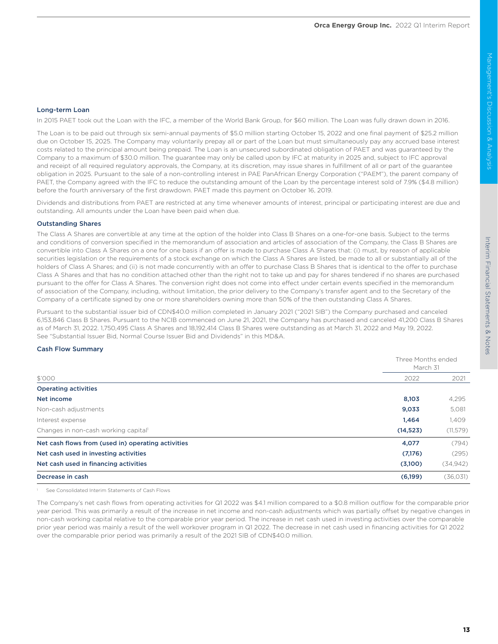# Interim Financial Statements & Notes Interim Financial Statements & Notes

### Long-term Loan

In 2015 PAET took out the Loan with the IFC, a member of the World Bank Group, for \$60 million. The Loan was fully drawn down in 2016.

The Loan is to be paid out through six semi-annual payments of \$5.0 million starting October 15, 2022 and one final payment of \$25.2 million due on October 15, 2025. The Company may voluntarily prepay all or part of the Loan but must simultaneously pay any accrued base interest costs related to the principal amount being prepaid. The Loan is an unsecured subordinated obligation of PAET and was guaranteed by the Company to a maximum of \$30.0 million. The guarantee may only be called upon by IFC at maturity in 2025 and, subject to IFC approval and receipt of all required regulatory approvals, the Company, at its discretion, may issue shares in fulfillment of all or part of the guarantee obligation in 2025. Pursuant to the sale of a non-controlling interest in PAE PanAfrican Energy Corporation ("PAEM"), the parent company of PAET, the Company agreed with the IFC to reduce the outstanding amount of the Loan by the percentage interest sold of 7.9% (\$4.8 million) before the fourth anniversary of the first drawdown. PAET made this payment on October 16, 2019.

Dividends and distributions from PAET are restricted at any time whenever amounts of interest, principal or participating interest are due and outstanding. All amounts under the Loan have been paid when due.

### Outstanding Shares

The Class A Shares are convertible at any time at the option of the holder into Class B Shares on a one-for-one basis. Subject to the terms and conditions of conversion specified in the memorandum of association and articles of association of the Company, the Class B Shares are convertible into Class A Shares on a one for one basis if an offer is made to purchase Class A Shares that: (i) must, by reason of applicable securities legislation or the requirements of a stock exchange on which the Class A Shares are listed, be made to all or substantially all of the holders of Class A Shares; and (ii) is not made concurrently with an offer to purchase Class B Shares that is identical to the offer to purchase Class A Shares and that has no condition attached other than the right not to take up and pay for shares tendered if no shares are purchased pursuant to the offer for Class A Shares. The conversion right does not come into effect under certain events specified in the memorandum of association of the Company, including, without limitation, the prior delivery to the Company's transfer agent and to the Secretary of the Company of a certificate signed by one or more shareholders owning more than 50% of the then outstanding Class A Shares.

Pursuant to the substantial issuer bid of CDN\$40.0 million completed in January 2021 ("2021 SIB") the Company purchased and canceled 6,153,846 Class B Shares. Pursuant to the NCIB commenced on June 21, 2021, the Company has purchased and canceled 41,200 Class B Shares as of March 31, 2022. 1,750,495 Class A Shares and 18,192,414 Class B Shares were outstanding as at March 31, 2022 and May 19, 2022. See "Substantial Issuer Bid, Normal Course Issuer Bid and Dividends" in this MD&A.

### Cash Flow Summary

|                                                    |           | Three Months ended<br>March 31 |  |
|----------------------------------------------------|-----------|--------------------------------|--|
| \$'000                                             | 2022      | 2021                           |  |
| <b>Operating activities</b>                        |           |                                |  |
| Net income                                         | 8,103     | 4,295                          |  |
| Non-cash adjustments                               | 9,033     | 5,081                          |  |
| Interest expense                                   | 1,464     | 1,409                          |  |
| Changes in non-cash working capital                | (14, 523) | (11, 579)                      |  |
| Net cash flows from (used in) operating activities | 4,077     | (794)                          |  |
| Net cash used in investing activities              | (7,176)   | (295)                          |  |
| Net cash used in financing activities              | (3,100)   | (34,942)                       |  |
| Decrease in cash                                   | (6,199)   | (36, 031)                      |  |

<sup>1</sup> See Consolidated Interim Statements of Cash Flows

The Company's net cash flows from operating activities for Q1 2022 was \$4.1 million compared to a \$0.8 million outflow for the comparable prior year period. This was primarily a result of the increase in net income and non-cash adjustments which was partially offset by negative changes in non-cash working capital relative to the comparable prior year period. The increase in net cash used in investing activities over the comparable prior year period was mainly a result of the well workover program in Q1 2022. The decrease in net cash used in financing activities for Q1 2022 over the comparable prior period was primarily a result of the 2021 SIB of CDN\$40.0 million.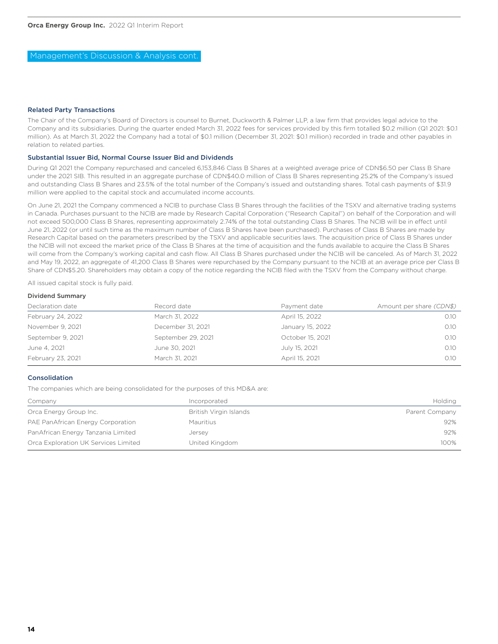### Related Party Transactions

The Chair of the Company's Board of Directors is counsel to Burnet, Duckworth & Palmer LLP, a law firm that provides legal advice to the Company and its subsidiaries. During the quarter ended March 31, 2022 fees for services provided by this firm totalled \$0.2 million (Q1 2021: \$0.1 million). As at March 31, 2022 the Company had a total of \$0.1 million (December 31, 2021: \$0.1 million) recorded in trade and other payables in relation to related parties.

### Substantial Issuer Bid, Normal Course Issuer Bid and Dividends

During Q1 2021 the Company repurchased and canceled 6,153,846 Class B Shares at a weighted average price of CDN\$6.50 per Class B Share under the 2021 SIB. This resulted in an aggregate purchase of CDN\$40.0 million of Class B Shares representing 25.2% of the Company's issued and outstanding Class B Shares and 23.5% of the total number of the Company's issued and outstanding shares. Total cash payments of \$31.9 million were applied to the capital stock and accumulated income accounts.

On June 21, 2021 the Company commenced a NCIB to purchase Class B Shares through the facilities of the TSXV and alternative trading systems in Canada. Purchases pursuant to the NCIB are made by Research Capital Corporation ("Research Capital") on behalf of the Corporation and will not exceed 500,000 Class B Shares, representing approximately 2.74% of the total outstanding Class B Shares. The NCIB will be in effect until June 21, 2022 (or until such time as the maximum number of Class B Shares have been purchased). Purchases of Class B Shares are made by Research Capital based on the parameters prescribed by the TSXV and applicable securities laws. The acquisition price of Class B Shares under the NCIB will not exceed the market price of the Class B Shares at the time of acquisition and the funds available to acquire the Class B Shares will come from the Company's working capital and cash flow. All Class B Shares purchased under the NCIB will be canceled. As of March 31, 2022 and May 19, 2022, an aggregate of 41,200 Class B Shares were repurchased by the Company pursuant to the NCIB at an average price per Class B Share of CDN\$5.20. Shareholders may obtain a copy of the notice regarding the NCIB filed with the TSXV from the Company without charge.

All issued capital stock is fully paid.

### Dividend Summary

| Declaration date  | Record date        | Payment date     | Amount per share (CDN\$) |
|-------------------|--------------------|------------------|--------------------------|
| February 24, 2022 | March 31, 2022     | April 15, 2022   | 0.10                     |
| November 9, 2021  | December 31, 2021  | January 15, 2022 | 0.10                     |
| September 9, 2021 | September 29, 2021 | October 15, 2021 | 0.10                     |
| June 4, 2021      | June 30, 2021      | July 15, 2021    | 0.10                     |
| February 23, 2021 | March 31, 2021     | April 15, 2021   | 0.10                     |

### Consolidation

The companies which are being consolidated for the purposes of this MD&A are:

| Company                              | Incorporated           | Holding        |
|--------------------------------------|------------------------|----------------|
| Orca Energy Group Inc.               | British Virgin Islands | Parent Company |
| PAE PanAfrican Energy Corporation    | Mauritius              | 92%            |
| PanAfrican Energy Tanzania Limited   | Jersey                 | 92%            |
| Orca Exploration UK Services Limited | United Kingdom         | 100%           |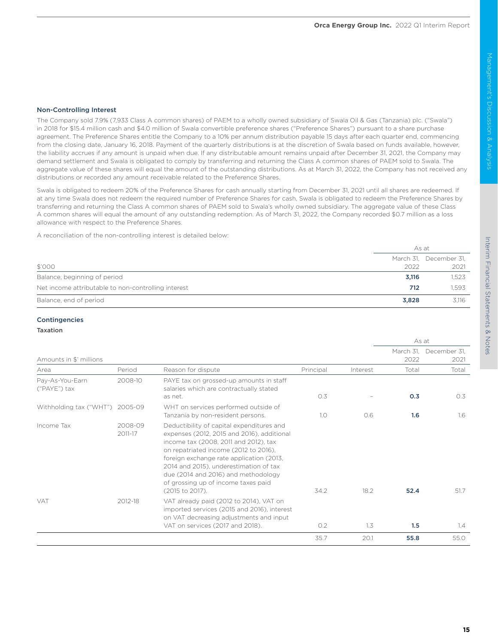As at

The Company sold 7.9% (7,933 Class A common shares) of PAEM to a wholly owned subsidiary of Swala Oil & Gas (Tanzania) plc. ("Swala") in 2018 for \$15.4 million cash and \$4.0 million of Swala convertible preference shares ("Preference Shares") pursuant to a share purchase agreement. The Preference Shares entitle the Company to a 10% per annum distribution payable 15 days after each quarter end, commencing from the closing date, January 16, 2018. Payment of the quarterly distributions is at the discretion of Swala based on funds available, however, the liability accrues if any amount is unpaid when due. If any distributable amount remains unpaid after December 31, 2021, the Company may demand settlement and Swala is obligated to comply by transferring and returning the Class A common shares of PAEM sold to Swala. The aggregate value of these shares will equal the amount of the outstanding distributions. As at March 31, 2022, the Company has not received any distributions or recorded any amount receivable related to the Preference Shares.

Swala is obligated to redeem 20% of the Preference Shares for cash annually starting from December 31, 2021 until all shares are redeemed. If at any time Swala does not redeem the required number of Preference Shares for cash, Swala is obligated to redeem the Preference Shares by transferring and returning the Class A common shares of PAEM sold to Swala's wholly owned subsidiary. The aggregate value of these Class A common shares will equal the amount of any outstanding redemption. As of March 31, 2022, the Company recorded \$0.7 million as a loss allowance with respect to the Preference Shares.

A reconciliation of the non-controlling interest is detailed below:

|                                                     | As at |                                |  |  |
|-----------------------------------------------------|-------|--------------------------------|--|--|
| \$'000                                              | 2022  | March 31, December 31,<br>2021 |  |  |
| Balance, beginning of period                        | 3,116 | 1,523                          |  |  |
| Net income attributable to non-controlling interest | 712   | 1.593                          |  |  |
| Balance, end of period                              | 3.828 | 3,116                          |  |  |

### Contingencies

### Taxation

| Amounts in \$' millions         |                    |                                                                                                                                                                                                                                                                                                                                                                  |           |          | March 31,<br>2022 | December 31.<br>2021 |
|---------------------------------|--------------------|------------------------------------------------------------------------------------------------------------------------------------------------------------------------------------------------------------------------------------------------------------------------------------------------------------------------------------------------------------------|-----------|----------|-------------------|----------------------|
| Area                            | Period             | Reason for dispute                                                                                                                                                                                                                                                                                                                                               | Principal | Interest | Total             | Total                |
| Pay-As-You-Earn<br>("PAYE") tax | 2008-10            | PAYE tax on grossed-up amounts in staff<br>salaries which are contractually stated<br>as net.                                                                                                                                                                                                                                                                    | O.3       |          | 0.3               | O.3                  |
| Withholding tax ("WHT") 2005-09 |                    | WHT on services performed outside of<br>Tanzania by non-resident persons.                                                                                                                                                                                                                                                                                        | 1.0       | 0.6      | 1.6               | 1.6                  |
| Income Tax                      | 2008-09<br>2011-17 | Deductibility of capital expenditures and<br>expenses (2012, 2015 and 2016), additional<br>income tax (2008, 2011 and 2012), tax<br>on repatriated income (2012 to 2016).<br>foreign exchange rate application (2013,<br>2014 and 2015), underestimation of tax<br>due (2014 and 2016) and methodology<br>of grossing up of income taxes paid<br>(2015 to 2017). | 34.2      | 18.2     | 52.4              | 51.7                 |
| <b>VAT</b>                      | 2012-18            | VAT already paid (2012 to 2014), VAT on<br>imported services (2015 and 2016), interest<br>on VAT decreasing adjustments and input<br>VAT on services (2017 and 2018).                                                                                                                                                                                            | O.2       | 1.3      | 1.5               | 1.4                  |
|                                 |                    |                                                                                                                                                                                                                                                                                                                                                                  | 35.7      | 20.1     | 55.8              | 55.0                 |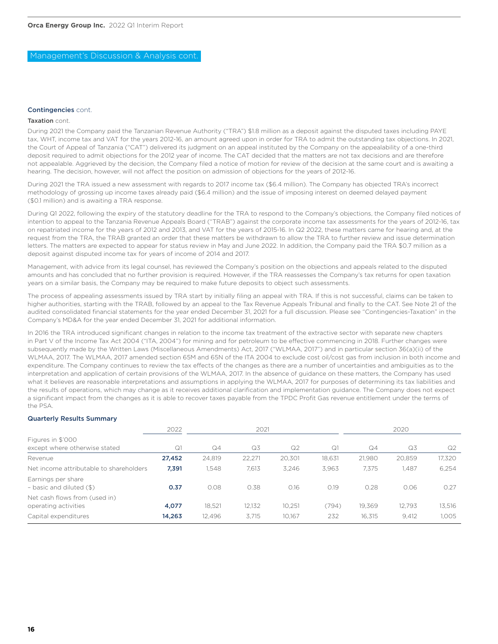### Management's Discussion & Analysis cont.

### Contingencies cont.

### Taxation cont.

During 2021 the Company paid the Tanzanian Revenue Authority ("TRA") \$1.8 million as a deposit against the disputed taxes including PAYE tax, WHT, income tax and VAT for the years 2012-16, an amount agreed upon in order for TRA to admit the outstanding tax objections. In 2021, the Court of Appeal of Tanzania ("CAT") delivered its judgment on an appeal instituted by the Company on the appealability of a one-third deposit required to admit objections for the 2012 year of income. The CAT decided that the matters are not tax decisions and are therefore not appealable. Aggrieved by the decision, the Company filed a notice of motion for review of the decision at the same court and is awaiting a hearing. The decision, however, will not affect the position on admission of objections for the years of 2012-16.

During 2021 the TRA issued a new assessment with regards to 2017 income tax (\$6.4 million). The Company has objected TRA's incorrect methodology of grossing up income taxes already paid (\$6.4 million) and the issue of imposing interest on deemed delayed payment (\$0.1 million) and is awaiting a TRA response.

During Q1 2022, following the expiry of the statutory deadline for the TRA to respond to the Company's objections, the Company filed notices of intention to appeal to the Tanzania Revenue Appeals Board ("TRAB") against the corporate income tax assessments for the years of 2012-16, tax on repatriated income for the years of 2012 and 2013, and VAT for the years of 2015-16. In Q2 2022, these matters came for hearing and, at the request from the TRA, the TRAB granted an order that these matters be withdrawn to allow the TRA to further review and issue determination letters. The matters are expected to appear for status review in May and June 2022. In addition, the Company paid the TRA \$0.7 million as a deposit against disputed income tax for years of income of 2014 and 2017.

Management, with advice from its legal counsel, has reviewed the Company's position on the objections and appeals related to the disputed amounts and has concluded that no further provision is required. However, if the TRA reassesses the Company's tax returns for open taxation years on a similar basis, the Company may be required to make future deposits to object such assessments.

The process of appealing assessments issued by TRA start by initially filing an appeal with TRA. If this is not successful, claims can be taken to higher authorities, starting with the TRAB, followed by an appeal to the Tax Revenue Appeals Tribunal and finally to the CAT. See Note 21 of the audited consolidated financial statements for the year ended December 31, 2021 for a full discussion. Please see "Contingencies-Taxation" in the Company's MD&A for the year ended December 31, 2021 for additional information.

In 2016 the TRA introduced significant changes in relation to the income tax treatment of the extractive sector with separate new chapters in Part V of the Income Tax Act 2004 ("ITA, 2004") for mining and for petroleum to be effective commencing in 2018. Further changes were subsequently made by the Written Laws (Miscellaneous Amendments) Act, 2017 ("WLMAA, 2017") and in particular section 36(a)(ii) of the WLMAA, 2017. The WLMAA, 2017 amended section 65M and 65N of the ITA 2004 to exclude cost oil/cost gas from inclusion in both income and expenditure. The Company continues to review the tax effects of the changes as there are a number of uncertainties and ambiguities as to the interpretation and application of certain provisions of the WLMAA, 2017. In the absence of guidance on these matters, the Company has used what it believes are reasonable interpretations and assumptions in applying the WLMAA, 2017 for purposes of determining its tax liabilities and the results of operations, which may change as it receives additional clarification and implementation guidance. The Company does not expect a significant impact from the changes as it is able to recover taxes payable from the TPDC Profit Gas revenue entitlement under the terms of the PSA.

### Quarterly Results Summary

|                                                       | 2022   |                | 2021   |                |        |        | 2020   |        |
|-------------------------------------------------------|--------|----------------|--------|----------------|--------|--------|--------|--------|
| Figures in \$'000<br>except where otherwise stated    | Q1     | Q <sub>4</sub> | Q3     | Q <sub>2</sub> | Q1     | Q4     | Q3     | Q2     |
| Revenue                                               | 27,452 | 24,819         | 22,271 | 20,301         | 18.631 | 21.980 | 20.859 | 17,320 |
| Net income attributable to shareholders               | 7,391  | 1.548          | 7,613  | 3.246          | 3.963  | 7.375  | 1.487  | 6,254  |
| Earnings per share<br>- basic and diluted (\$)        | 0.37   | 0.08           | 0.38   | 0.16           | 0.19   | 0.28   | 0.06   | 0.27   |
| Net cash flows from (used in)<br>operating activities | 4,077  | 18.521         | 12.132 | 10.251         | (794)  | 19,369 | 12.793 | 13.516 |
| Capital expenditures                                  | 14,263 | 12,496         | 3.715  | 10.167         | 232    | 16.315 | 9,412  | 1,005  |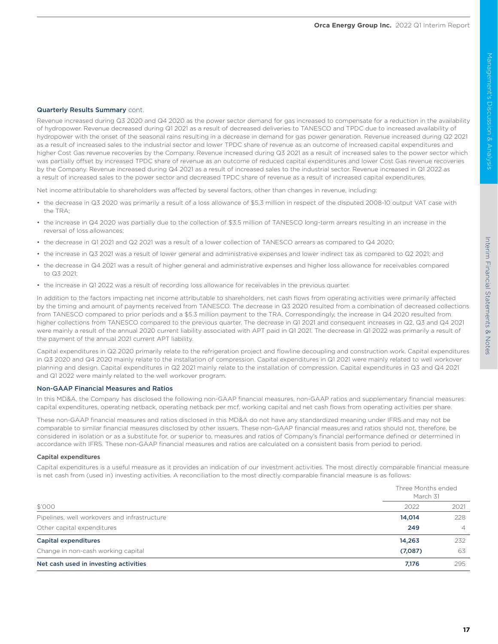### Quarterly Results Summary cont.

Revenue increased during Q3 2020 and Q4 2020 as the power sector demand for gas increased to compensate for a reduction in the availability of hydropower. Revenue decreased during Q1 2021 as a result of decreased deliveries to TANESCO and TPDC due to increased availability of hydropower with the onset of the seasonal rains resulting in a decrease in demand for gas power generation. Revenue increased during Q2 2021 as a result of increased sales to the industrial sector and lower TPDC share of revenue as an outcome of increased capital expenditures and higher Cost Gas revenue recoveries by the Company. Revenue increased during Q3 2021 as a result of increased sales to the power sector which was partially offset by increased TPDC share of revenue as an outcome of reduced capital expenditures and lower Cost Gas revenue recoveries by the Company. Revenue increased during Q4 2021 as a result of increased sales to the industrial sector. Revenue increased in Q1 2022 as a result of increased sales to the power sector and decreased TPDC share of revenue as a result of increased capital expenditures.

Net income attributable to shareholders was affected by several factors, other than changes in revenue, including:

- the decrease in Q3 2020 was primarily a result of a loss allowance of \$5.3 million in respect of the disputed 2008-10 output VAT case with the TRA;
- the increase in Q4 2020 was partially due to the collection of \$3.5 million of TANESCO long-term arrears resulting in an increase in the reversal of loss allowances;
- the decrease in Q1 2021 and Q2 2021 was a result of a lower collection of TANESCO arrears as compared to Q4 2020;
- the increase in Q3 2021 was a result of lower general and administrative expenses and lower indirect tax as compared to Q2 2021; and
- the decrease in Q4 2021 was a result of higher general and administrative expenses and higher loss allowance for receivables compared to Q3 2021;
- the increase in Q1 2022 was a result of recording loss allowance for receivables in the previous quarter.

In addition to the factors impacting net income attributable to shareholders, net cash flows from operating activities were primarily affected by the timing and amount of payments received from TANESCO. The decrease in Q3 2020 resulted from a combination of decreased collections from TANESCO compared to prior periods and a \$5.3 million payment to the TRA. Correspondingly, the increase in Q4 2020 resulted from higher collections from TANESCO compared to the previous quarter. The decrease in Q1 2021 and consequent increases in Q2, Q3 and Q4 2021 were mainly a result of the annual 2020 current liability associated with APT paid in Q1 2021. The decrease in Q1 2022 was primarily a result of the payment of the annual 2021 current APT liability.

Capital expenditures in Q2 2020 primarily relate to the refrigeration project and flowline decoupling and construction work. Capital expenditures in Q3 2020 and Q4 2020 mainly relate to the installation of compression. Capital expenditures in Q1 2021 were mainly related to well workover planning and design. Capital expenditures in Q2 2021 mainly relate to the installation of compression. Capital expenditures in Q3 and Q4 2021 and Q1 2022 were mainly related to the well workover program.

### Non-GAAP Financial Measures and Ratios

In this MD&A, the Company has disclosed the following non-GAAP financial measures, non-GAAP ratios and supplementary financial measures: capital expenditures, operating netback, operating netback per mcf, working capital and net cash flows from operating activities per share.

These non-GAAP financial measures and ratios disclosed in this MD&A do not have any standardized meaning under IFRS and may not be comparable to similar financial measures disclosed by other issuers. These non-GAAP financial measures and ratios should not, therefore, be considered in isolation or as a substitute for, or superior to, measures and ratios of Company's financial performance defined or determined in accordance with IFRS. These non-GAAP financial measures and ratios are calculated on a consistent basis from period to period.

### Capital expenditures

Capital expenditures is a useful measure as it provides an indication of our investment activities. The most directly comparable financial measure is net cash from (used in) investing activities. A reconciliation to the most directly comparable financial measure is as follows:

|                                              |         | Three Months ended<br>March 31 |  |  |
|----------------------------------------------|---------|--------------------------------|--|--|
| \$'000                                       | 2022    | 2021                           |  |  |
| Pipelines, well workovers and infrastructure | 14,014  | 228                            |  |  |
| Other capital expenditures                   | 249     | 4                              |  |  |
| <b>Capital expenditures</b>                  | 14,263  | 232                            |  |  |
| Change in non-cash working capital           | (7,087) | 63                             |  |  |
| Net cash used in investing activities        | 7,176   | 295                            |  |  |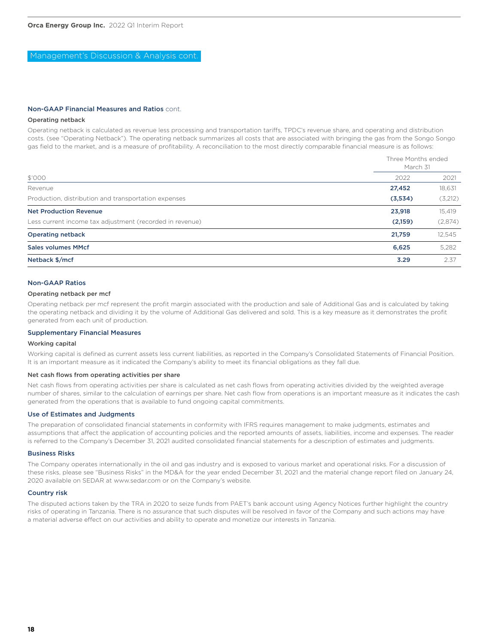Management's Discussion & Analysis cont.

### Non-GAAP Financial Measures and Ratios cont.

### Operating netback

Operating netback is calculated as revenue less processing and transportation tariffs, TPDC's revenue share, and operating and distribution costs. (see "Operating Netback"). The operating netback summarizes all costs that are associated with bringing the gas from the Songo Songo gas field to the market, and is a measure of profitability. A reconciliation to the most directly comparable financial measure is as follows:

|                                                          | Three Months ended<br>March 31 |         |  |
|----------------------------------------------------------|--------------------------------|---------|--|
| \$'000                                                   | 2022                           | 2021    |  |
| Revenue                                                  | 27,452                         | 18,631  |  |
| Production, distribution and transportation expenses     | (3,534)                        | (3,212) |  |
| <b>Net Production Revenue</b>                            | 23,918                         | 15,419  |  |
| Less current income tax adjustment (recorded in revenue) | (2,159)                        | (2,874) |  |
| <b>Operating netback</b>                                 | 21,759                         | 12,545  |  |
| Sales volumes MMcf                                       | 6,625                          | 5,282   |  |
| Netback \$/mcf                                           | 3.29                           | 2.37    |  |

### Non-GAAP Ratios

### Operating netback per mcf

Operating netback per mcf represent the profit margin associated with the production and sale of Additional Gas and is calculated by taking the operating netback and dividing it by the volume of Additional Gas delivered and sold. This is a key measure as it demonstrates the profit generated from each unit of production.

### Supplementary Financial Measures

### Working capital

Working capital is defined as current assets less current liabilities, as reported in the Company's Consolidated Statements of Financial Position. It is an important measure as it indicated the Company's ability to meet its financial obligations as they fall due.

### Net cash flows from operating activities per share

Net cash flows from operating activities per share is calculated as net cash flows from operating activities divided by the weighted average number of shares, similar to the calculation of earnings per share. Net cash flow from operations is an important measure as it indicates the cash generated from the operations that is available to fund ongoing capital commitments.

### Use of Estimates and Judgments

The preparation of consolidated financial statements in conformity with IFRS requires management to make judgments, estimates and assumptions that affect the application of accounting policies and the reported amounts of assets, liabilities, income and expenses. The reader is referred to the Company's December 31, 2021 audited consolidated financial statements for a description of estimates and judgments.

### Business Risks

The Company operates internationally in the oil and gas industry and is exposed to various market and operational risks. For a discussion of these risks, please see "Business Risks" in the MD&A for the year ended December 31, 2021 and the material change report filed on January 24, 2020 available on SEDAR at www.sedar.com or on the Company's website.

### Country risk

The disputed actions taken by the TRA in 2020 to seize funds from PAET's bank account using Agency Notices further highlight the country risks of operating in Tanzania. There is no assurance that such disputes will be resolved in favor of the Company and such actions may have a material adverse effect on our activities and ability to operate and monetize our interests in Tanzania.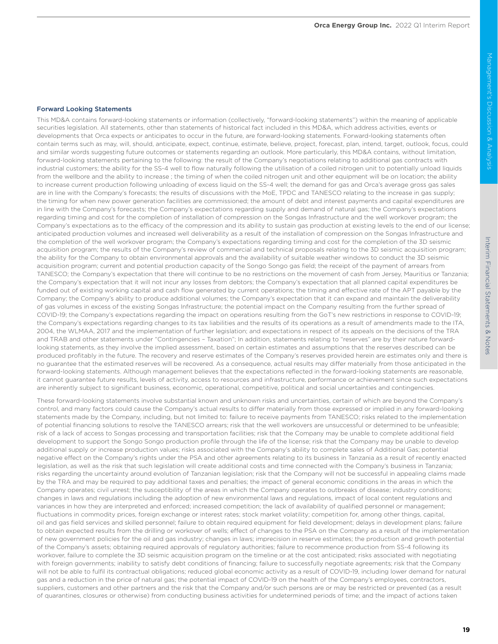## Interim Financial Statements & Interim Financial Statements & NotesNotes

### Forward Looking Statements

This MD&A contains forward-looking statements or information (collectively, "forward-looking statements") within the meaning of applicable securities legislation. All statements, other than statements of historical fact included in this MD&A, which address activities, events or developments that Orca expects or anticipates to occur in the future, are forward-looking statements. Forward-looking statements often contain terms such as may, will, should, anticipate, expect, continue, estimate, believe, project, forecast, plan, intend, target, outlook, focus, could and similar words suggesting future outcomes or statements regarding an outlook. More particularly, this MD&A contains, without limitation, forward-looking statements pertaining to the following: the result of the Company's negotiations relating to additional gas contracts with industrial customers; the ability for the SS-4 well to flow naturally following the utilisation of a coiled nitrogen unit to potentially unload liquids from the wellbore and the ability to increase ; the timing of when the coiled nitrogen unit and other equipment will be on location; the ability to increase current production following unloading of excess liquid on the SS-4 well; the demand for gas and Orca's average gross gas sales are in line with the Company's forecasts; the results of discussions with the MoE, TPDC and TANESCO relating to the increase in gas supply; the timing for when new power generation facilities are commissioned; the amount of debt and interest payments and capital expenditures are in line with the Company's forecasts; the Company's expectations regarding supply and demand of natural gas; the Company's expectations regarding timing and cost for the completion of installation of compression on the Songas Infrastructure and the well workover program; the Company's expectations as to the efficacy of the compression and its ability to sustain gas production at existing levels to the end of our license; anticipated production volumes and increased well deliverability as a result of the installation of compression on the Songas Infrastructure and the completion of the well workover program; the Company's expectations regarding timing and cost for the completion of the 3D seismic acquisition program; the results of the Company's review of commercial and technical proposals relating to the 3D seismic acquisition program; the ability for the Company to obtain environmental approvals and the availability of suitable weather windows to conduct the 3D seismic acquisition program; current and potential production capacity of the Songo Songo gas field; the receipt of the payment of arrears from TANESCO; the Company's expectation that there will continue to be no restrictions on the movement of cash from Jersey, Mauritius or Tanzania; the Company's expectation that it will not incur any losses from debtors; the Company's expectation that all planned capital expenditures be funded out of existing working capital and cash flow generated by current operations; the timing and effective rate of the APT payable by the Company; the Company's ability to produce additional volumes; the Company's expectation that it can expand and maintain the deliverability of gas volumes in excess of the existing Songas Infrastructure; the potential impact on the Company resulting from the further spread of COVID-19; the Company's expectations regarding the impact on operations resulting from the GoT's new restrictions in response to COVID-19; the Company's expectations regarding changes to its tax liabilities and the results of its operations as a result of amendments made to the ITA, 2004, the WLMAA, 2017 and the implementation of further legislation; and expectations in respect of its appeals on the decisions of the TRA and TRAB and other statements under "Contingencies – Taxation"; In addition, statements relating to "reserves" are by their nature forwardlooking statements, as they involve the implied assessment, based on certain estimates and assumptions that the reserves described can be produced profitably in the future. The recovery and reserve estimates of the Company's reserves provided herein are estimates only and there is no guarantee that the estimated reserves will be recovered. As a consequence, actual results may differ materially from those anticipated in the forward-looking statements. Although management believes that the expectations reflected in the forward-looking statements are reasonable, it cannot guarantee future results, levels of activity, access to resources and infrastructure, performance or achievement since such expectations are inherently subject to significant business, economic, operational, competitive, political and social uncertainties and contingencies.

These forward-looking statements involve substantial known and unknown risks and uncertainties, certain of which are beyond the Company's control, and many factors could cause the Company's actual results to differ materially from those expressed or implied in any forward-looking statements made by the Company, including, but not limited to: failure to receive payments from TANESCO; risks related to the implementation of potential financing solutions to resolve the TANESCO arrears; risk that the well workovers are unsuccessful or determined to be unfeasible; risk of a lack of access to Songas processing and transportation facilities; risk that the Company may be unable to complete additional field development to support the Songo Songo production profile through the life of the license; risk that the Company may be unable to develop additional supply or increase production values; risks associated with the Company's ability to complete sales of Additional Gas; potential negative effect on the Company's rights under the PSA and other agreements relating to its business in Tanzania as a result of recently enacted legislation, as well as the risk that such legislation will create additional costs and time connected with the Company's business in Tanzania; risks regarding the uncertainty around evolution of Tanzanian legislation; risk that the Company will not be successful in appealing claims made by the TRA and may be required to pay additional taxes and penalties; the impact of general economic conditions in the areas in which the Company operates; civil unrest; the susceptibility of the areas in which the Company operates to outbreaks of disease; industry conditions; changes in laws and regulations including the adoption of new environmental laws and regulations, impact of local content regulations and variances in how they are interpreted and enforced; increased competition; the lack of availability of qualified personnel or management; fluctuations in commodity prices, foreign exchange or interest rates; stock market volatility; competition for, among other things, capital, oil and gas field services and skilled personnel; failure to obtain required equipment for field development; delays in development plans; failure to obtain expected results from the drilling or workover of wells; effect of changes to the PSA on the Company as a result of the implementation of new government policies for the oil and gas industry; changes in laws; imprecision in reserve estimates; the production and growth potential of the Company's assets; obtaining required approvals of regulatory authorities; failure to recommence production from SS-4 following its workover, failure to complete the 3D seismic acquisition program on the timeline or at the cost anticipated; risks associated with negotiating with foreign governments; inability to satisfy debt conditions of financing; failure to successfully negotiate agreements; risk that the Company will not be able to fulfil its contractual obligations; reduced global economic activity as a result of COVID-19, including lower demand for natural gas and a reduction in the price of natural gas; the potential impact of COVID-19 on the health of the Company's employees, contractors, suppliers, customers and other partners and the risk that the Company and/or such persons are or may be restricted or prevented (as a result of quarantines, closures or otherwise) from conducting business activities for undetermined periods of time; and the impact of actions taken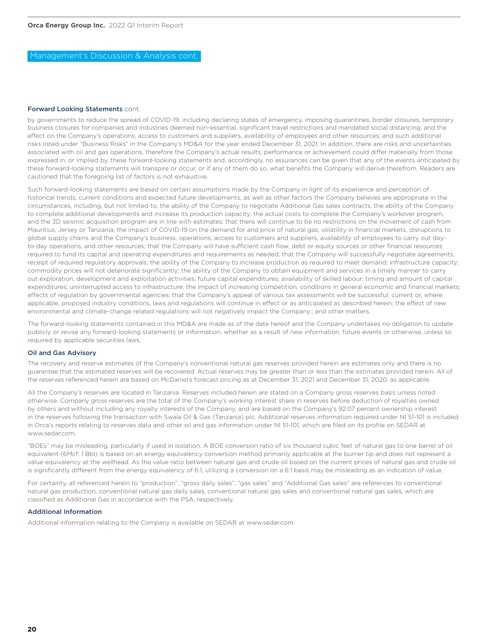### Management's Discussion & Analysis cont.

### Forward Looking Statements cont.

by governments to reduce the spread of COVID-19, including declaring states of emergency, imposing quarantines, border closures, temporary business closures for companies and industries deemed non-essential, significant travel restrictions and mandated social distancing, and the effect on the Company's operations, access to customers and suppliers, availability of employees and other resources; and such additional risks listed under "Business Risks" in the Company's MD&A for the year ended December 31, 2021. In addition, there are risks and uncertainties associated with oil and gas operations, therefore the Company's actual results, performance or achievement could differ materially from those expressed in, or implied by, these forward-looking statements and, accordingly, no assurances can be given that any of the events anticipated by these forward-looking statements will transpire or occur, or if any of them do so, what benefits the Company will derive therefrom. Readers are cautioned that the foregoing list of factors is not exhaustive.

Such forward-looking statements are based on certain assumptions made by the Company in light of its experience and perception of historical trends, current conditions and expected future developments, as well as other factors the Company believes are appropriate in the circumstances, including, but not limited to, the ability of the Company to negotiate Additional Gas sales contracts; the ability of the Company to complete additional developments and increase its production capacity; the actual costs to complete the Company's workover program, and the 3D seismic acquisition program are in line with estimates; that there will continue to be no restrictions on the movement of cash from Mauritius, Jersey or Tanzania; the impact of COVID-19 on the demand for and price of natural gas, volatility in financial markets, disruptions to global supply chains and the Company's business, operations, access to customers and suppliers, availability of employees to carry out dayto-day operations, and other resources; that the Company will have sufficient cash flow, debt or equity sources or other financial resources required to fund its capital and operating expenditures and requirements as needed; that the Company will successfully negotiate agreements; receipt of required regulatory approvals; the ability of the Company to increase production as required to meet demand; infrastructure capacity; commodity prices will not deteriorate significantly; the ability of the Company to obtain equipment and services in a timely manner to carry out exploration, development and exploitation activities; future capital expenditures; availability of skilled labour; timing and amount of capital expenditures; uninterrupted access to infrastructure; the impact of increasing competition; conditions in general economic and financial markets; effects of regulation by governmental agencies; that the Company's appeal of various tax assessments will be successful; current or, where applicable, proposed industry conditions, laws and regulations will continue in effect or as anticipated as described herein; the effect of new environmental and climate-change related regulations will not negatively impact the Company;; and other matters.

The forward-looking statements contained in this MD&A are made as of the date hereof and the Company undertakes no obligation to update publicly or revise any forward-looking statements or information, whether as a result of new information, future events or otherwise, unless so required by applicable securities laws.

### Oil and Gas Advisory

The recovery and reserve estimates of the Company's conventional natural gas reserves provided herein are estimates only and there is no guarantee that the estimated reserves will be recovered. Actual reserves may be greater than or less than the estimates provided herein. All of the reserves referenced herein are based on McDaniel's forecast pricing as at December 31, 2021 and December 31, 2020, as applicable.

All the Company's reserves are located in Tanzania. Reserves included herein are stated on a Company gross reserves basis unless noted otherwise. Company gross reserves are the total of the Company's working interest share in reserves before deduction of royalties owned by others and without including any royalty interests of the Company, and are based on the Company's 92.07 percent ownership interest in the reserves following the transaction with Swala Oil & Gas (Tanzania) plc. Additional reserves information required under NI 51-101 is included in Orca's reports relating to reserves data and other oil and gas information under NI 51-101, which are filed on its profile on SEDAR at www.sedar.com.

"BOEs" may be misleading, particularly if used in isolation. A BOE conversion ratio of six thousand cubic feet of natural gas to one barrel of oil equivalent (6Mcf: 1 Bbl) is based on an energy equivalency conversion method primarily applicable at the burner tip and does not represent a value equivalency at the wellhead. As the value ratio between natural gas and crude oil based on the current prices of natural gas and crude oil is significantly different from the energy equivalency of 6:1, utilizing a conversion on a 6:1 basis may be misleading as an indication of value.

For certainty, all referenced herein to "production", "gross daily sales", "gas sales" and "Additional Gas sales" are references to conventional natural gas production, conventional natural gas daily sales, conventional natural gas sales and conventional natural gas sales, which are classified as Additional Gas in accordance with the PSA, respectively.

### Additional Information

Additional information relating to the Company is available on SEDAR at www.sedar.com.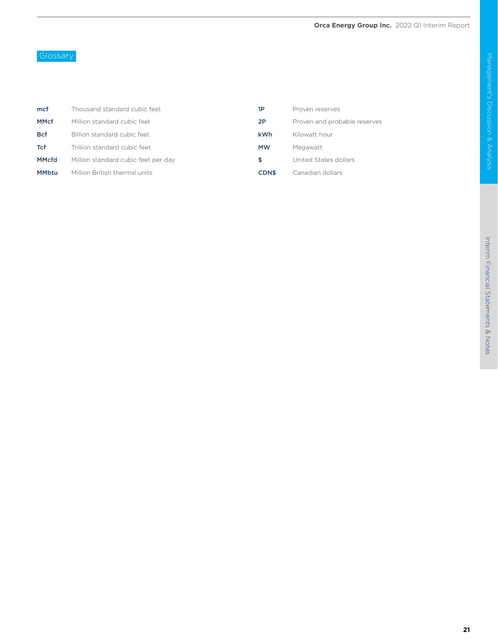### Glossary

| mcf          | Thousand standard cubic feet        | 1P          | Proven reserves              |
|--------------|-------------------------------------|-------------|------------------------------|
| <b>MMcf</b>  | Million standard cubic feet         | 2P          | Proven and probable reserves |
| <b>Bcf</b>   | Billion standard cubic feet         | <b>kWh</b>  | Kilowatt hour                |
| <b>Tcf</b>   | Trillion standard cubic feet        | <b>MW</b>   | Megawatt                     |
| <b>MMcfd</b> | Million standard cubic feet per day | S           | United States dollars        |
| <b>MMbtu</b> | Million British thermal units       | <b>CDNS</b> | Canadian dollars             |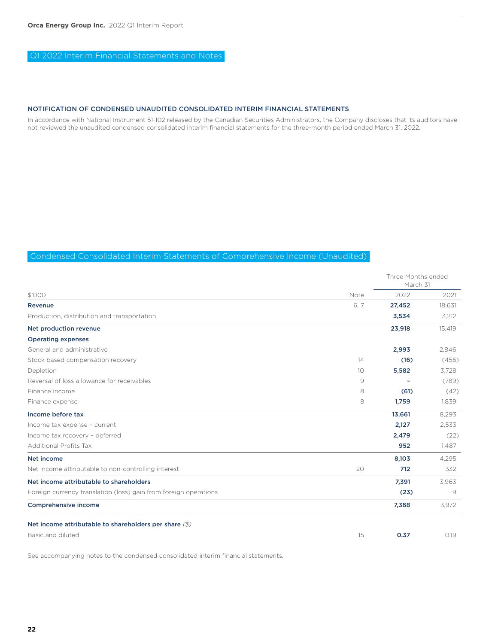### Q1 2022 Interim Financial Statements and Notes

### NOTIFICATION OF CONDENSED UNAUDITED CONSOLIDATED INTERIM FINANCIAL STATEMENTS

In accordance with National Instrument 51-102 released by the Canadian Securities Administrators, the Company discloses that its auditors have not reviewed the unaudited condensed consolidated interim financial statements for the three-month period ended March 31, 2022.

### Condensed Consolidated Interim Statements of Comprehensive Income (Unaudited)

|                                                                  |      | Three Months ended<br>March 31 |        |
|------------------------------------------------------------------|------|--------------------------------|--------|
| \$'000                                                           | Note | 2022                           | 2021   |
| <b>Revenue</b>                                                   | 6.7  | 27,452                         | 18,631 |
| Production, distribution and transportation                      |      | 3,534                          | 3,212  |
| Net production revenue                                           |      | 23,918                         | 15,419 |
| <b>Operating expenses</b>                                        |      |                                |        |
| General and administrative                                       |      | 2,993                          | 2,846  |
| Stock based compensation recovery                                | 14   | (16)                           | (456)  |
| Depletion                                                        | 10   | 5,582                          | 3,728  |
| Reversal of loss allowance for receivables                       | 9    |                                | (789)  |
| Finance income                                                   | 8    | (61)                           | (42)   |
| Finance expense                                                  | 8    | 1,759                          | 1,839  |
| Income before tax                                                |      | 13,661                         | 8,293  |
| Income tax expense - current                                     |      | 2,127                          | 2,533  |
| Income tax recovery - deferred                                   |      | 2,479                          | (22)   |
| <b>Additional Profits Tax</b>                                    |      | 952                            | 1,487  |
| Net income                                                       |      | 8,103                          | 4,295  |
| Net income attributable to non-controlling interest              | 20   | 712                            | 332    |
| Net income attributable to shareholders                          |      | 7,391                          | 3,963  |
| Foreign currency translation (loss) gain from foreign operations |      | (23)                           | 9      |
| Comprehensive income                                             |      | 7,368                          | 3,972  |
| Net income attributable to shareholders per share $(\text{\$})$  |      |                                |        |
| Basic and diluted                                                | 15   | 0.37                           | 0.19   |

See accompanying notes to the condensed consolidated interim financial statements.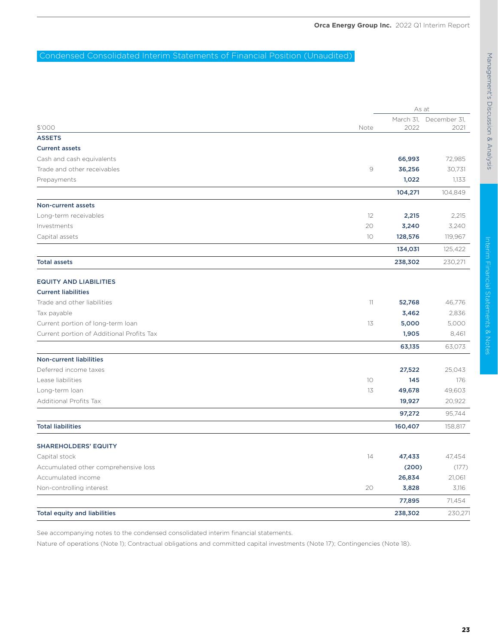### Condensed Consolidated Interim Statements of Financial Position (Unaudited)

|                                           |               | As at   |                        |
|-------------------------------------------|---------------|---------|------------------------|
|                                           |               |         | March 31, December 31, |
| \$'000                                    | Note          | 2022    | 2021                   |
| <b>ASSETS</b>                             |               |         |                        |
| <b>Current assets</b>                     |               |         |                        |
| Cash and cash equivalents                 |               | 66,993  | 72,985                 |
| Trade and other receivables               | $\mathcal{Q}$ | 36,256  | 30,731                 |
| Prepayments                               |               | 1,022   | 1,133                  |
|                                           |               | 104,271 | 104,849                |
| Non-current assets                        |               |         |                        |
| Long-term receivables                     | 12            | 2,215   | 2,215                  |
| Investments                               | 20            | 3,240   | 3,240                  |
| Capital assets                            | 10            | 128,576 | 119,967                |
|                                           |               | 134,031 | 125,422                |
| <b>Total assets</b>                       |               | 238,302 | 230,271                |
| <b>EQUITY AND LIABILITIES</b>             |               |         |                        |
| <b>Current liabilities</b>                |               |         |                        |
| Trade and other liabilities               | 11            | 52,768  | 46,776                 |
| Tax payable                               |               | 3,462   | 2,836                  |
| Current portion of long-term loan         | 13            | 5,000   | 5,000                  |
| Current portion of Additional Profits Tax |               | 1,905   | 8,461                  |
|                                           |               | 63,135  | 63,073                 |
| <b>Non-current liabilities</b>            |               |         |                        |
| Deferred income taxes                     |               | 27,522  | 25,043                 |
| Lease liabilities                         | 10            | 145     | 176                    |
| Long-term loan                            | 13            | 49,678  | 49,603                 |
| <b>Additional Profits Tax</b>             |               | 19,927  | 20,922                 |
|                                           |               | 97,272  | 95,744                 |
| <b>Total liabilities</b>                  |               | 160,407 | 158,817                |
| <b>SHAREHOLDERS' EQUITY</b>               |               |         |                        |
| Capital stock                             | 14            | 47,433  | 47,454                 |
| Accumulated other comprehensive loss      |               | (200)   | (177)                  |
| Accumulated income                        |               | 26,834  | 21,061                 |
| Non-controlling interest                  | 20            | 3,828   | 3,116                  |
|                                           |               | 77,895  | 71,454                 |
| <b>Total equity and liabilities</b>       |               | 238,302 | 230,271                |

See accompanying notes to the condensed consolidated interim financial statements.

Nature of operations (Note 1); Contractual obligations and committed capital investments (Note 17); Contingencies (Note 18).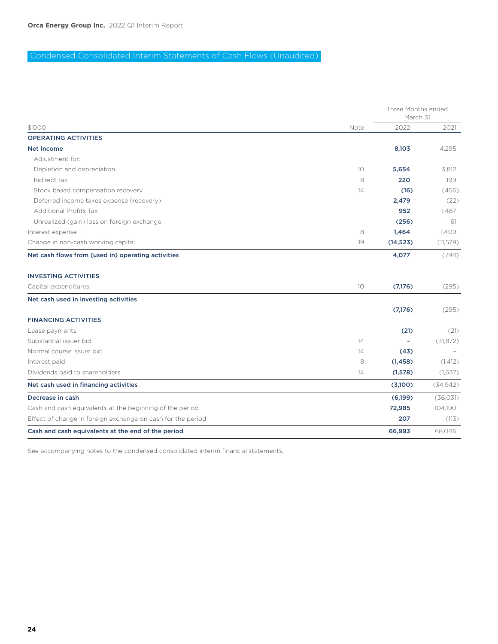### Condensed Consolidated Interim Statements of Cash Flows (Unaudited)

|                                                             |      |           | Three Months ended<br>March 31 |  |
|-------------------------------------------------------------|------|-----------|--------------------------------|--|
| \$'000                                                      | Note | 2022      | 2021                           |  |
| <b>OPERATING ACTIVITIES</b>                                 |      |           |                                |  |
| <b>Net Income</b>                                           |      | 8,103     | 4,295                          |  |
| Adjustment for:                                             |      |           |                                |  |
| Depletion and depreciation                                  | 10   | 5,654     | 3,812                          |  |
| Indirect tax                                                | 8    | 220       | 199                            |  |
| Stock based compensation recovery                           | 14   | (16)      | (456)                          |  |
| Deferred income taxes expense (recovery)                    |      | 2,479     | (22)                           |  |
| <b>Additional Profits Tax</b>                               |      | 952       | 1,487                          |  |
| Unrealized (gain) loss on foreign exchange                  |      | (256)     | 61                             |  |
| Interest expense                                            | 8    | 1,464     | 1,409                          |  |
| Change in non-cash working capital                          | 19   | (14, 523) | (11, 579)                      |  |
| <b>INVESTING ACTIVITIES</b><br>Capital expenditures         | 10   | (7,176)   | (295)                          |  |
| Net cash used in investing activities                       |      |           |                                |  |
|                                                             |      | (7,176)   | (295)                          |  |
| <b>FINANCING ACTIVITIES</b>                                 |      |           |                                |  |
| Lease payments                                              |      | (21)      | (21)                           |  |
| Substantial issuer bid                                      | 14   |           | (31, 872)                      |  |
| Normal course issuer bid                                    | 14   | (43)      |                                |  |
| Interest paid                                               | 8    | (1, 458)  | (1, 412)                       |  |
| Dividends paid to shareholders                              | 14   | (1,578)   | (1,637)                        |  |
| Net cash used in financing activities                       |      | (3,100)   | (34, 942)                      |  |
| Decrease in cash                                            |      | (6,199)   | (36, 031)                      |  |
| Cash and cash equivalents at the beginning of the period    |      | 72,985    | 104,190                        |  |
| Effect of change in foreign exchange on cash for the period |      | 207       | (113)                          |  |
| Cash and cash equivalents at the end of the period          |      | 66,993    | 68,046                         |  |

See accompanying notes to the condensed consolidated interim financial statements.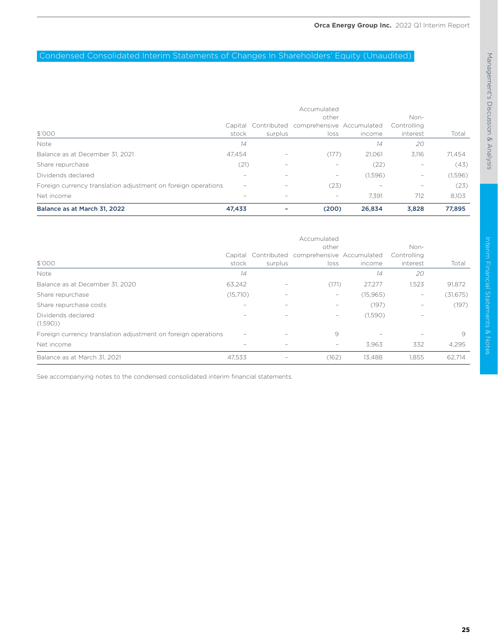### Condensed Consolidated Interim Statements of Changes In Shareholders' Equity (Unaudited)

|                                                               |                          |                          | Accumulated                                                               |         |                                                                           |         |
|---------------------------------------------------------------|--------------------------|--------------------------|---------------------------------------------------------------------------|---------|---------------------------------------------------------------------------|---------|
|                                                               |                          |                          | other                                                                     |         | Non-                                                                      |         |
|                                                               |                          |                          | Capital Contributed comprehensive Accumulated                             |         | Controlling                                                               |         |
| \$'000                                                        | stock                    | surplus                  | loss                                                                      | income  | interest                                                                  | Total   |
| Note                                                          | 14                       |                          |                                                                           | 14      | 20                                                                        |         |
| Balance as at December 31, 2021                               | 47.454                   | $\overline{\phantom{a}}$ | (177)                                                                     | 21.061  | 3.116                                                                     | 71.454  |
| Share repurchase                                              | (21)                     | $\overline{\phantom{a}}$ | $\overline{\phantom{a}}$                                                  | (22)    | ۰                                                                         | (43)    |
| Dividends declared                                            | $\hspace{0.05cm}$        | $\overline{\phantom{a}}$ | $\hspace{1.0cm} \rule{1.5cm}{0.15cm} \hspace{1.0cm} \rule{1.5cm}{0.15cm}$ | (1,596) | $\hspace{1.0cm} \rule{1.5cm}{0.15cm} \hspace{1.0cm} \rule{1.5cm}{0.15cm}$ | (1,596) |
| Foreign currency translation adjustment on foreign operations | $\overline{\phantom{a}}$ | $\overline{\phantom{a}}$ | (23)                                                                      | -       | $\hspace{1.0cm} - \hspace{1.0cm}$                                         | (23)    |
| Net income                                                    |                          | ۰                        | $\overline{\phantom{a}}$                                                  | 7.391   | 712                                                                       | 8,103   |
| Balance as at March 31, 2022                                  | 47,433                   |                          | (200)                                                                     | 26,834  | 3,828                                                                     | 77,895  |

|                                                               | Accumulated |                          |                                                                |           |                                 |           |  |
|---------------------------------------------------------------|-------------|--------------------------|----------------------------------------------------------------|-----------|---------------------------------|-----------|--|
| \$'000                                                        | stock       | surplus                  | other<br>Capital Contributed comprehensive Accumulated<br>loss | income    | Non-<br>Controlling<br>interest | Total     |  |
| Note                                                          | 14          |                          |                                                                | 14        | 20                              |           |  |
| Balance as at December 31, 2020                               | 63,242      | ۰                        | (171)                                                          | 27.277    | 1,523                           | 91,872    |  |
| Share repurchase                                              | (15,710)    |                          | -                                                              | (15, 965) | $\overline{\phantom{a}}$        | (31, 675) |  |
| Share repurchase costs                                        | $\sim$      | ۰                        |                                                                | (197)     | $\overline{\phantom{a}}$        | (197)     |  |
| Dividends declared<br>(1,590)                                 |             |                          | -                                                              | (1,590)   | -                               |           |  |
| Foreign currency translation adjustment on foreign operations | $\sim$      | ۰                        | 9                                                              |           | $\overline{\phantom{a}}$        | 9         |  |
| Net income                                                    |             |                          | -                                                              | 3,963     | 332                             | 4,295     |  |
| Balance as at March 31, 2021                                  | 47.533      | $\overline{\phantom{a}}$ | (162)                                                          | 13.488    | 1.855                           | 62,714    |  |

See accompanying notes to the condensed consolidated interim financial statements.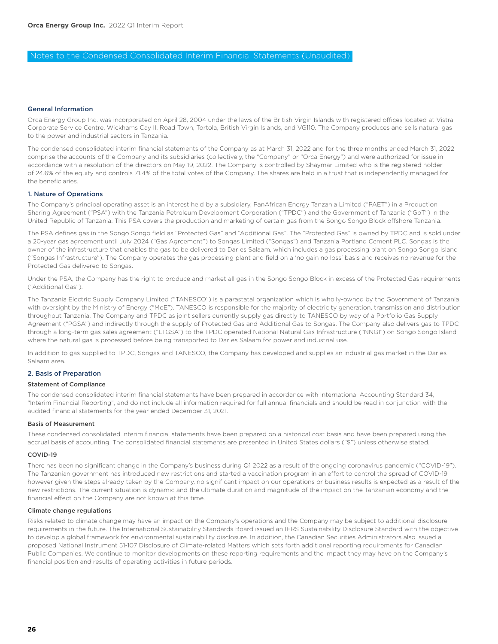### Notes to the Condensed Consolidated Interim Financial Statements (Unaudited)

### General Information

Orca Energy Group Inc. was incorporated on April 28, 2004 under the laws of the British Virgin Islands with registered offices located at Vistra Corporate Service Centre, Wickhams Cay II, Road Town, Tortola, British Virgin Islands, and VG110. The Company produces and sells natural gas to the power and industrial sectors in Tanzania.

The condensed consolidated interim financial statements of the Company as at March 31, 2022 and for the three months ended March 31, 2022 comprise the accounts of the Company and its subsidiaries (collectively, the "Company" or "Orca Energy") and were authorized for issue in accordance with a resolution of the directors on May 19, 2022. The Company is controlled by Shaymar Limited who is the registered holder of 24.6% of the equity and controls 71.4% of the total votes of the Company. The shares are held in a trust that is independently managed for the beneficiaries.

### 1. Nature of Operations

The Company's principal operating asset is an interest held by a subsidiary, PanAfrican Energy Tanzania Limited ("PAET") in a Production Sharing Agreement ("PSA") with the Tanzania Petroleum Development Corporation ("TPDC") and the Government of Tanzania ("GoT") in the United Republic of Tanzania. This PSA covers the production and marketing of certain gas from the Songo Songo Block offshore Tanzania.

The PSA defines gas in the Songo Songo field as "Protected Gas" and "Additional Gas". The "Protected Gas" is owned by TPDC and is sold under a 20-year gas agreement until July 2024 ("Gas Agreement") to Songas Limited ("Songas") and Tanzania Portland Cement PLC. Songas is the owner of the infrastructure that enables the gas to be delivered to Dar es Salaam, which includes a gas processing plant on Songo Songo Island ("Songas Infrastructure"). The Company operates the gas processing plant and field on a 'no gain no loss' basis and receives no revenue for the Protected Gas delivered to Songas.

Under the PSA, the Company has the right to produce and market all gas in the Songo Songo Block in excess of the Protected Gas requirements ("Additional Gas").

The Tanzania Electric Supply Company Limited ("TANESCO") is a parastatal organization which is wholly-owned by the Government of Tanzania, with oversight by the Ministry of Energy ("MoE"). TANESCO is responsible for the majority of electricity generation, transmission and distribution throughout Tanzania. The Company and TPDC as joint sellers currently supply gas directly to TANESCO by way of a Portfolio Gas Supply Agreement ("PGSA") and indirectly through the supply of Protected Gas and Additional Gas to Songas. The Company also delivers gas to TPDC through a long-term gas sales agreement ("LTGSA") to the TPDC operated National Natural Gas Infrastructure ("NNGI") on Songo Songo Island where the natural gas is processed before being transported to Dar es Salaam for power and industrial use.

In addition to gas supplied to TPDC, Songas and TANESCO, the Company has developed and supplies an industrial gas market in the Dar es Salaam area.

### 2. Basis of Preparation

### Statement of Compliance

The condensed consolidated interim financial statements have been prepared in accordance with International Accounting Standard 34, "Interim Financial Reporting", and do not include all information required for full annual financials and should be read in conjunction with the audited financial statements for the year ended December 31, 2021.

### Basis of Measurement

These condensed consolidated interim financial statements have been prepared on a historical cost basis and have been prepared using the accrual basis of accounting. The consolidated financial statements are presented in United States dollars ("\$") unless otherwise stated.

### COVID-19

There has been no significant change in the Company's business during Q1 2022 as a result of the ongoing coronavirus pandemic ("COVID-19"). The Tanzanian government has introduced new restrictions and started a vaccination program in an effort to control the spread of COVID-19 however given the steps already taken by the Company, no significant impact on our operations or business results is expected as a result of the new restrictions. The current situation is dynamic and the ultimate duration and magnitude of the impact on the Tanzanian economy and the financial effect on the Company are not known at this time.

### Climate change regulations

Risks related to climate change may have an impact on the Company's operations and the Company may be subject to additional disclosure requirements in the future. The International Sustainability Standards Board issued an IFRS Sustainability Disclosure Standard with the objective to develop a global framework for environmental sustainability disclosure. In addition, the Canadian Securities Administrators also issued a proposed National Instrument 51-107 Disclosure of Climate-related Matters which sets forth additional reporting requirements for Canadian Public Companies. We continue to monitor developments on these reporting requirements and the impact they may have on the Company's financial position and results of operating activities in future periods.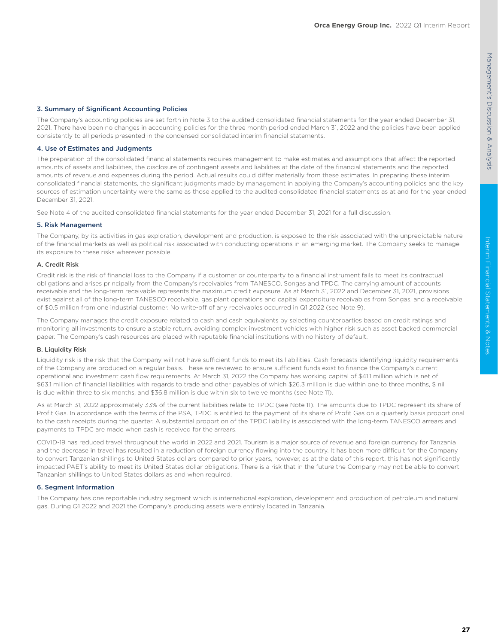### 3. Summary of Significant Accounting Policies

The Company's accounting policies are set forth in Note 3 to the audited consolidated financial statements for the year ended December 31, 2021. There have been no changes in accounting policies for the three month period ended March 31, 2022 and the policies have been applied consistently to all periods presented in the condensed consolidated interim financial statements.

### 4. Use of Estimates and Judgments

The preparation of the consolidated financial statements requires management to make estimates and assumptions that affect the reported amounts of assets and liabilities, the disclosure of contingent assets and liabilities at the date of the financial statements and the reported amounts of revenue and expenses during the period. Actual results could differ materially from these estimates. In preparing these interim consolidated financial statements, the significant judgments made by management in applying the Company's accounting policies and the key sources of estimation uncertainty were the same as those applied to the audited consolidated financial statements as at and for the year ended December 31, 2021.

See Note 4 of the audited consolidated financial statements for the year ended December 31, 2021 for a full discussion.

### 5. Risk Management

The Company, by its activities in gas exploration, development and production, is exposed to the risk associated with the unpredictable nature of the financial markets as well as political risk associated with conducting operations in an emerging market. The Company seeks to manage its exposure to these risks wherever possible.

### A. Credit Risk

Credit risk is the risk of financial loss to the Company if a customer or counterparty to a financial instrument fails to meet its contractual obligations and arises principally from the Company's receivables from TANESCO, Songas and TPDC. The carrying amount of accounts receivable and the long-term receivable represents the maximum credit exposure. As at March 31, 2022 and December 31, 2021, provisions exist against all of the long-term TANESCO receivable, gas plant operations and capital expenditure receivables from Songas, and a receivable of \$0.5 million from one industrial customer. No write-off of any receivables occurred in Q1 2022 (see Note 9).

The Company manages the credit exposure related to cash and cash equivalents by selecting counterparties based on credit ratings and monitoring all investments to ensure a stable return, avoiding complex investment vehicles with higher risk such as asset backed commercial paper. The Company's cash resources are placed with reputable financial institutions with no history of default.

### B. Liquidity Risk

Liquidity risk is the risk that the Company will not have sufficient funds to meet its liabilities. Cash forecasts identifying liquidity requirements of the Company are produced on a regular basis. These are reviewed to ensure sufficient funds exist to finance the Company's current operational and investment cash flow requirements. At March 31, 2022 the Company has working capital of \$41.1 million which is net of \$63.1 million of financial liabilities with regards to trade and other payables of which \$26.3 million is due within one to three months, \$ nil is due within three to six months, and \$36.8 million is due within six to twelve months (see Note 11).

As at March 31, 2022 approximately 33% of the current liabilities relate to TPDC (see Note 11). The amounts due to TPDC represent its share of Profit Gas. In accordance with the terms of the PSA, TPDC is entitled to the payment of its share of Profit Gas on a quarterly basis proportional to the cash receipts during the quarter. A substantial proportion of the TPDC liability is associated with the long-term TANESCO arrears and payments to TPDC are made when cash is received for the arrears.

COVID-19 has reduced travel throughout the world in 2022 and 2021. Tourism is a major source of revenue and foreign currency for Tanzania and the decrease in travel has resulted in a reduction of foreign currency flowing into the country. It has been more difficult for the Company to convert Tanzanian shillings to United States dollars compared to prior years, however, as at the date of this report, this has not significantly impacted PAET's ability to meet its United States dollar obligations. There is a risk that in the future the Company may not be able to convert Tanzanian shillings to United States dollars as and when required.

### 6. Segment Information

The Company has one reportable industry segment which is international exploration, development and production of petroleum and natural gas. During Q1 2022 and 2021 the Company's producing assets were entirely located in Tanzania.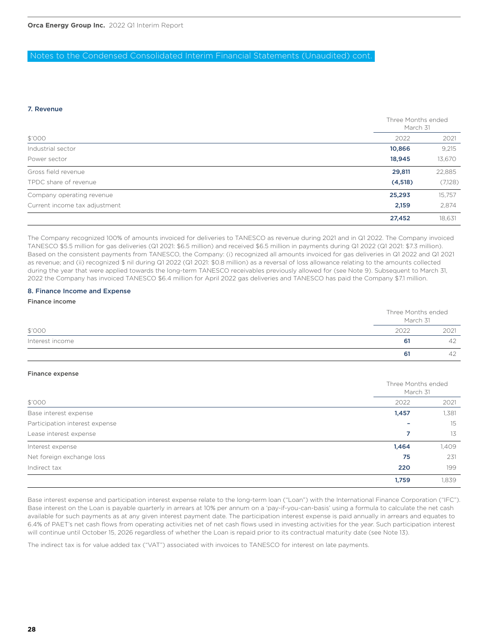### Notes to the Condensed Consolidated Interim Financial Statements (Unaudited) cont.

### 7. Revenue

|                               |          | Three Months ended<br>March 31 |  |
|-------------------------------|----------|--------------------------------|--|
| \$'000                        | 2022     | 2021                           |  |
| Industrial sector             | 10,866   | 9,215                          |  |
| Power sector                  | 18,945   | 13,670                         |  |
| Gross field revenue           | 29,811   | 22,885                         |  |
| TPDC share of revenue         | (4, 518) | (7,128)                        |  |
| Company operating revenue     | 25,293   | 15,757                         |  |
| Current income tax adjustment | 2,159    | 2,874                          |  |
|                               | 27,452   | 18,631                         |  |

The Company recognized 100% of amounts invoiced for deliveries to TANESCO as revenue during 2021 and in Q1 2022. The Company invoiced TANESCO \$5.5 million for gas deliveries (Q1 2021: \$6.5 million) and received \$6.5 million in payments during Q1 2022 (Q1 2021: \$7.3 million). Based on the consistent payments from TANESCO, the Company: (i) recognized all amounts invoiced for gas deliveries in Q1 2022 and Q1 2021 as revenue; and (ii) recognized \$ nil during Q1 2022 (Q1 2021: \$0.8 million) as a reversal of loss allowance relating to the amounts collected during the year that were applied towards the long-term TANESCO receivables previously allowed for (see Note 9). Subsequent to March 31, 2022 the Company has invoiced TANESCO \$6.4 million for April 2022 gas deliveries and TANESCO has paid the Company \$7.1 million.

### 8. Finance Income and Expense

Finance income

|                 |      | Three Months ended<br>March 31 |  |
|-----------------|------|--------------------------------|--|
| \$'000          | 2022 | 2021                           |  |
| Interest income | 61   | 42                             |  |
|                 | 61   | $\Delta$                       |  |

### Finance expense

| \$'000                         |       | Three Months ended<br>March 31 |  |
|--------------------------------|-------|--------------------------------|--|
|                                | 2022  | 2021                           |  |
| Base interest expense          | 1,457 | 1,381                          |  |
| Participation interest expense |       | 15                             |  |
| Lease interest expense         |       | 13                             |  |
| Interest expense               | 1,464 | 1,409                          |  |
| Net foreign exchange loss      | 75    | 231                            |  |
| Indirect tax                   | 220   | 199                            |  |
|                                | 1,759 | 1,839                          |  |

Base interest expense and participation interest expense relate to the long-term loan ("Loan") with the International Finance Corporation ("IFC"). Base interest on the Loan is payable quarterly in arrears at 10% per annum on a 'pay-if-you-can-basis' using a formula to calculate the net cash available for such payments as at any given interest payment date. The participation interest expense is paid annually in arrears and equates to 6.4% of PAET's net cash flows from operating activities net of net cash flows used in investing activities for the year. Such participation interest will continue until October 15, 2026 regardless of whether the Loan is repaid prior to its contractual maturity date (see Note 13).

The indirect tax is for value added tax ("VAT") associated with invoices to TANESCO for interest on late payments.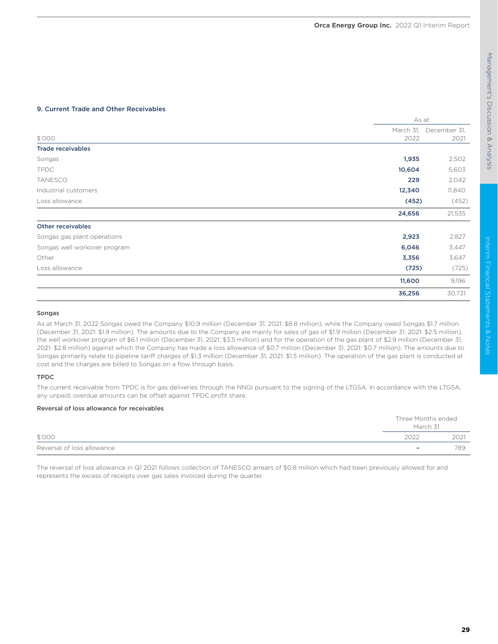### 9. Current Trade and Other Receivables

|                              | As at     |              |
|------------------------------|-----------|--------------|
|                              | March 31, | December 31, |
| \$'000                       | 2022      | 2021         |
| <b>Trade receivables</b>     |           |              |
| Songas                       | 1,935     | 2,502        |
| <b>TPDC</b>                  | 10,604    | 5,603        |
| <b>TANESCO</b>               | 229       | 2,042        |
| Industrial customers         | 12,340    | 11,840       |
| Loss allowance               | (452)     | (452)        |
|                              | 24,656    | 21,535       |
| <b>Other receivables</b>     |           |              |
| Songas gas plant operations  | 2,923     | 2,827        |
| Songas well workover program | 6,046     | 3,447        |
| Other                        | 3,356     | 3,647        |
| Loss allowance               | (725)     | (725)        |
|                              | 11,600    | 9,196        |
|                              | 36,256    | 30,731       |

### Songas

As at March 31, 2022 Songas owed the Company \$10.9 million (December 31, 2021: \$8.8 million), while the Company owed Songas \$1.7 million (December 31, 2021: \$1.9 million). The amounts due to the Company are mainly for sales of gas of \$1.9 million (December 31, 2021: \$2.5 million), the well workover program of \$6.1 million (December 31, 2021; \$3.5 million) and for the operation of the gas plant of \$2.9 million (December 31, 2021: \$2.8 million) against which the Company has made a loss allowance of \$0.7 million (December 31, 2021: \$0.7 million). The amounts due to Songas primarily relate to pipeline tariff charges of \$1.3 million (December 31, 2021: \$1.5 million). The operation of the gas plant is conducted at cost and the charges are billed to Songas on a flow through basis.

### TPDC

The current receivable from TPDC is for gas deliveries through the NNGI pursuant to the signing of the LTGSA. In accordance with the LTGSA, any unpaid, overdue amounts can be offset against TPDC profit share.

### Reversal of loss allowance for receivables

|                            | Three Months ended<br>March 31 |      |
|----------------------------|--------------------------------|------|
| \$'000                     | 2022                           | 2021 |
| Reversal of loss allowance | $\overline{\phantom{0}}$       | 789  |

The reversal of loss allowance in Q1 2021 follows collection of TANESCO arrears of \$0.8 million which had been previously allowed for and represents the excess of receipts over gas sales invoiced during the quarter.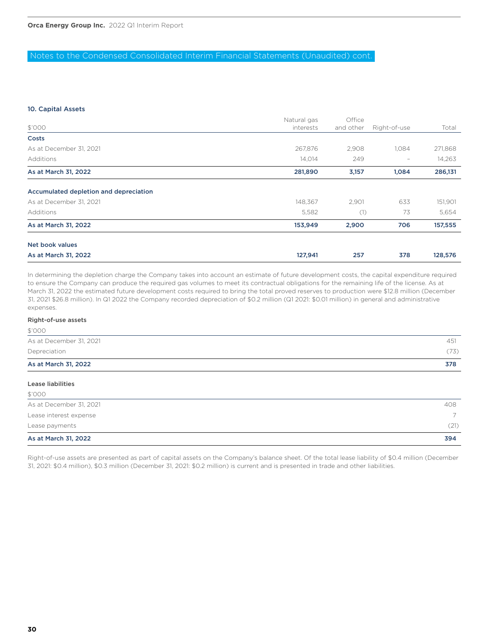### Notes to the Condensed Consolidated Interim Financial Statements (Unaudited) cont.

### 10. Capital Assets

|                                        | Natural gas | Office    |                          |         |
|----------------------------------------|-------------|-----------|--------------------------|---------|
| \$'000                                 | interests   | and other | Right-of-use             | Total   |
| Costs                                  |             |           |                          |         |
| As at December 31, 2021                | 267,876     | 2,908     | 1,084                    | 271,868 |
| Additions                              | 14,014      | 249       | $\overline{\phantom{a}}$ | 14,263  |
| As at March 31, 2022                   | 281,890     | 3,157     | 1,084                    | 286,131 |
| Accumulated depletion and depreciation |             |           |                          |         |
| As at December 31, 2021                | 148,367     | 2,901     | 633                      | 151,901 |
| Additions                              | 5,582       | (1)       | 73                       | 5,654   |
| As at March 31, 2022                   | 153,949     | 2,900     | 706                      | 157,555 |
| Net book values                        |             |           |                          |         |
| As at March 31, 2022                   | 127,941     | 257       | 378                      | 128,576 |

In determining the depletion charge the Company takes into account an estimate of future development costs, the capital expenditure required to ensure the Company can produce the required gas volumes to meet its contractual obligations for the remaining life of the license. As at March 31, 2022 the estimated future development costs required to bring the total proved reserves to production were \$12.8 million (December 31, 2021 \$26.8 million). In Q1 2022 the Company recorded depreciation of \$0.2 million (Q1 2021: \$0.01 million) in general and administrative expenses.

### Right-of-use assets

 $\triangle$ '000

| As at March 31, 2022    | 378  |
|-------------------------|------|
| Depreciation            | (73) |
| As at December 31, 2021 | 451  |
| $\vee \vee \vee \vee$   |      |

| Lease liabilities       |                |
|-------------------------|----------------|
| \$'000                  |                |
| As at December 31, 2021 | 408            |
| Lease interest expense  | $\overline{7}$ |
| Lease payments          | (21)           |
| As at March 31, 2022    | 394            |

Right-of-use assets are presented as part of capital assets on the Company's balance sheet. Of the total lease liability of \$0.4 million (December 31, 2021: \$0.4 million), \$0.3 million (December 31, 2021: \$0.2 million) is current and is presented in trade and other liabilities.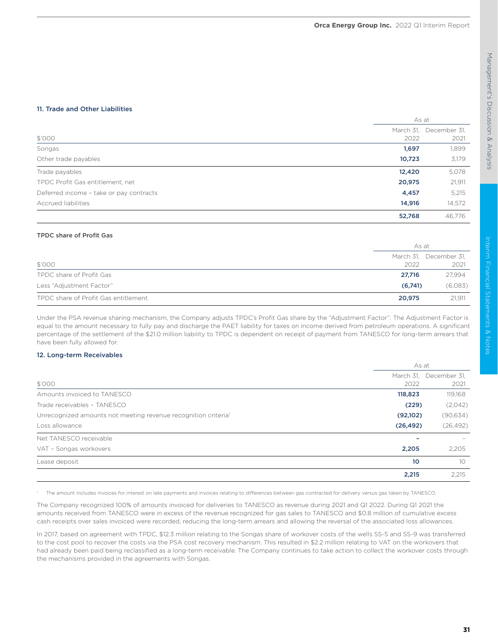### 11. Trade and Other Liabilities

|                                         |           | As at        |  |
|-----------------------------------------|-----------|--------------|--|
|                                         | March 31, | December 31, |  |
| \$'000                                  | 2022      | 2021         |  |
| Songas                                  | 1,697     | 1,899        |  |
| Other trade payables                    | 10,723    | 3,179        |  |
| Trade payables                          | 12,420    | 5,078        |  |
| TPDC Profit Gas entitlement, net        | 20,975    | 21,911       |  |
| Deferred income - take or pay contracts | 4,457     | 5,215        |  |
| <b>Accrued liabilities</b>              | 14,916    | 14,572       |  |
|                                         | 52,768    | 46.776       |  |

### TPDC share of Profit Gas

|                                      | As at   |                        |
|--------------------------------------|---------|------------------------|
|                                      |         | March 31, December 31, |
| \$'000                               | 2022    | 2021                   |
| TPDC share of Profit Gas             | 27.716  | 27,994                 |
| Less "Adjustment Factor"             | (6,741) | (6,083)                |
| TPDC share of Profit Gas entitlement | 20.975  | 21,911                 |

Under the PSA revenue sharing mechanism, the Company adjusts TPDC's Profit Gas share by the "Adjustment Factor". The Adjustment Factor is equal to the amount necessary to fully pay and discharge the PAET liability for taxes on income derived from petroleum operations. A significant percentage of the settlement of the \$21.0 million liability to TPDC is dependent on receipt of payment from TANESCO for long-term arrears that have been fully allowed for.

### 12. Long-term Receivables

|                                                                | As at     |                                |
|----------------------------------------------------------------|-----------|--------------------------------|
| \$'000                                                         | 2022      | March 31, December 31,<br>2021 |
| Amounts invoiced to TANESCO                                    | 118,823   | 119,168                        |
| Trade receivables - TANESCO                                    | (229)     | (2,042)                        |
| Unrecognized amounts not meeting revenue recognition criterial | (92,102)  | (90, 634)                      |
| Loss allowance                                                 | (26, 492) | (26, 492)                      |
| Net TANESCO receivable                                         |           |                                |
| VAT - Songas workovers                                         | 2,205     | 2,205                          |
| Lease deposit                                                  | 10        | 10                             |
|                                                                | 2,215     | 2,215                          |

1 The amount includes invoices for interest on late payments and invoices relating to differences between gas contracted for delivery versus gas taken by TANESCO.

The Company recognized 100% of amounts invoiced for deliveries to TANESCO as revenue during 2021 and Q1 2022. During Q1 2021 the amounts received from TANESCO were in excess of the revenue recognized for gas sales to TANESCO and \$0.8 million of cumulative excess cash receipts over sales invoiced were recorded, reducing the long-term arrears and allowing the reversal of the associated loss allowances.

In 2017, based on agreement with TPDC, \$12.3 million relating to the Songas share of workover costs of the wells SS-5 and SS-9 was transferred to the cost pool to recover the costs via the PSA cost recovery mechanism. This resulted in \$2.2 million relating to VAT on the workovers that had already been paid being reclassified as a long-term receivable. The Company continues to take action to collect the workover costs through the mechanisms provided in the agreements with Songas.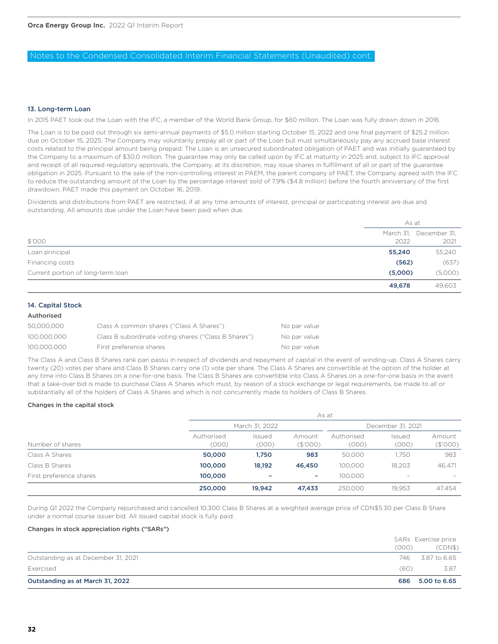### Notes to the Condensed Consolidated Interim Financial Statements (Unaudited) cont.

### 13. Long-term Loan

In 2015 PAET took out the Loan with the IFC, a member of the World Bank Group, for \$60 million. The Loan was fully drawn down in 2016.

The Loan is to be paid out through six semi-annual payments of \$5.0 million starting October 15, 2022 and one final payment of \$25.2 million due on October 15, 2025. The Company may voluntarily prepay all or part of the Loan but must simultaneously pay any accrued base interest costs related to the principal amount being prepaid. The Loan is an unsecured subordinated obligation of PAET and was initially guaranteed by the Company to a maximum of \$30.0 million. The guarantee may only be called upon by IFC at maturity in 2025 and, subject to IFC approval and receipt of all required regulatory approvals, the Company, at its discretion, may issue shares in fulfillment of all or part of the guarantee obligation in 2025. Pursuant to the sale of the non-controlling interest in PAEM, the parent company of PAET, the Company agreed with the IFC to reduce the outstanding amount of the Loan by the percentage interest sold of 7.9% (\$4.8 million) before the fourth anniversary of the first drawdown. PAET made this payment on October 16, 2019.

Dividends and distributions from PAET are restricted, if at any time amounts of interest, principal or participating interest are due and outstanding. All amounts due under the Loan have been paid when due.

|                                   | As at   |                        |
|-----------------------------------|---------|------------------------|
|                                   |         | March 31, December 31, |
| \$'000                            | 2022    | 2021                   |
| Loan principal                    | 55,240  | 55,240                 |
| Financing costs                   | (562)   | (637)                  |
| Current portion of long-term loan | (5,000) | (5,000)                |
|                                   | 49,678  | 49.603                 |

### 14. Capital Stock

### Authorised

| 50,000,000  | Class A common shares ("Class A Shares")             | No par value |
|-------------|------------------------------------------------------|--------------|
| 100.000.000 | Class B subordinate voting shares ("Class B Shares") | No par value |
| 100.000.000 | First preference shares                              | No par value |

The Class A and Class B Shares rank pari passu in respect of dividends and repayment of capital in the event of winding-up. Class A Shares carry twenty (20) votes per share and Class B Shares carry one (1) vote per share. The Class A Shares are convertible at the option of the holder at any time into Class B Shares on a one-for-one basis. The Class B Shares are convertible into Class A Shares on a one-for-one basis in the event that a take-over bid is made to purchase Class A Shares which must, by reason of a stock exchange or legal requirements, be made to all or substantially all of the holders of Class A Shares and which is not concurrently made to holders of Class B Shares.

### Changes in the capital stock

| Number of shares        | As at               |                 |                          |                     |                   |                          |
|-------------------------|---------------------|-----------------|--------------------------|---------------------|-------------------|--------------------------|
|                         | March 31, 2022      |                 |                          | December 31, 2021   |                   |                          |
|                         | Authorised<br>(000) | Issued<br>(000) | Amount<br>(\$'000)       | Authorised<br>(000) | Issued<br>(000)   | Amount<br>(\$'000)       |
| Class A Shares          | 50,000              | 1.750           | 983                      | 50.000              | 1.750             | 983                      |
| Class B Shares          | 100,000             | 18,192          | 46,450                   | 100.000             | 18.203            | 46,471                   |
| First preference shares | 100,000             | -               | $\overline{\phantom{a}}$ | 100.000             | $\qquad \qquad =$ | $\overline{\phantom{a}}$ |
|                         | 250,000             | 19,942          | 47,433                   | 250,000             | 19.953            | 47,454                   |

During Q1 2022 the Company repurchased and cancelled 10,300 Class B Shares at a weighted average price of CDN\$5.30 per Class B Share under a normal course issuer bid. All issued capital stock is fully paid.

### Changes in stock appreciation rights ("SARs")

|                                     | (000) | SARs Exercise price<br>(CDN\$) |
|-------------------------------------|-------|--------------------------------|
| Outstanding as at December 31, 2021 | 746   | 3.87 to 6.65                   |
| Exercised                           | (60)  | 3.87                           |
| Outstanding as at March 31, 2022    | 686   | 5,00 to 6,65                   |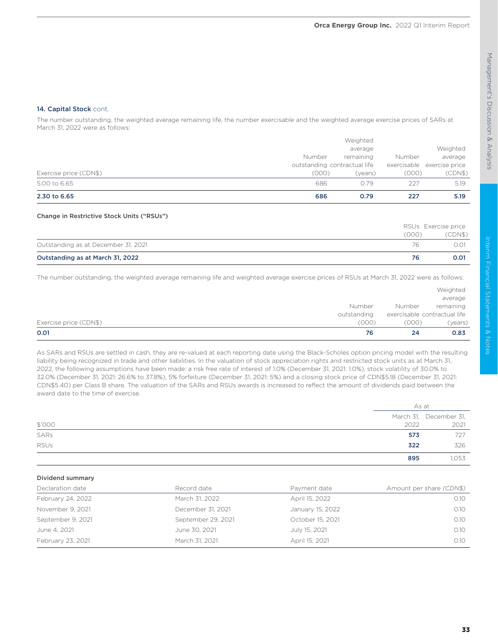### 14. Capital Stock cont.

The number outstanding, the weighted average remaining life, the number exercisable and the weighted average exercise prices of SARs at March 31, 2022 were as follows:

| Exercise price (CDN\$)<br>5.00 to 6.65 | (000)<br>686 | (years)<br>0.79              | (000)<br>227 | (CDN\$)<br>5.19            |
|----------------------------------------|--------------|------------------------------|--------------|----------------------------|
|                                        |              | outstanding contractual life |              | exercisable exercise price |
|                                        | Number       | remaining                    | Number       | average                    |
|                                        |              | average                      |              | Weighted                   |
|                                        |              | Weighted                     |              |                            |

### Change in Restrictive Stock Units ("RSUs")

|                                     |       | RSUs Exercise price |
|-------------------------------------|-------|---------------------|
|                                     | (000) | (CDN\$)             |
| Outstanding as at December 31, 2021 | 76    | 0.01                |
| Outstanding as at March 31, 2022    | 76    | 0.01                |

The number outstanding, the weighted average remaining life and weighted average exercise prices of RSUs at March 31, 2022 were as follows:

|                        |             |                              | Weighted  |
|------------------------|-------------|------------------------------|-----------|
|                        |             |                              | average   |
|                        | Number      | Number                       | remaining |
|                        | outstanding | exercisable contractual life |           |
| Exercise price (CDN\$) | (000)       | (000)                        | (years)   |
| 0.01                   | 76          | 24                           | 0.83      |

As SARs and RSUs are settled in cash, they are re-valued at each reporting date using the Black-Scholes option pricing model with the resulting liability being recognized in trade and other liabilities. In the valuation of stock appreciation rights and restricted stock units as at March 31, 2022, the following assumptions have been made: a risk free rate of interest of 1.0% (December 31, 2021: 1.0%), stock volatility of 30.0% to 32.0% (December 31, 2021: 26.6% to 37.8%), 5% forfeiture (December 31, 2021: 5%) and a closing stock price of CDN\$5.18 (December 31, 2021: CDN\$5.40) per Class B share. The valuation of the SARs and RSUs awards is increased to reflect the amount of dividends paid between the award date to the time of exercise.

|             |      | As at                  |  |
|-------------|------|------------------------|--|
|             |      | March 31, December 31, |  |
| \$'000      | 2022 | 2021                   |  |
| SARs        | 573  | 727                    |  |
| <b>RSUs</b> | 322  | 326                    |  |
|             | 895  | 1,053                  |  |

### Dividend summary

| Declaration date  | Record date        | Payment date     | Amount per share (CDN\$) |
|-------------------|--------------------|------------------|--------------------------|
| February 24, 2022 | March 31, 2022     | April 15, 2022   | 0.10                     |
| November 9, 2021  | December 31, 2021  | January 15, 2022 | 0.10                     |
| September 9, 2021 | September 29, 2021 | October 15, 2021 | 0.10                     |
| June 4, 2021      | June 30, 2021      | July 15, 2021    | 0.10                     |
| February 23, 2021 | March 31, 2021     | April 15, 2021   | 0.10                     |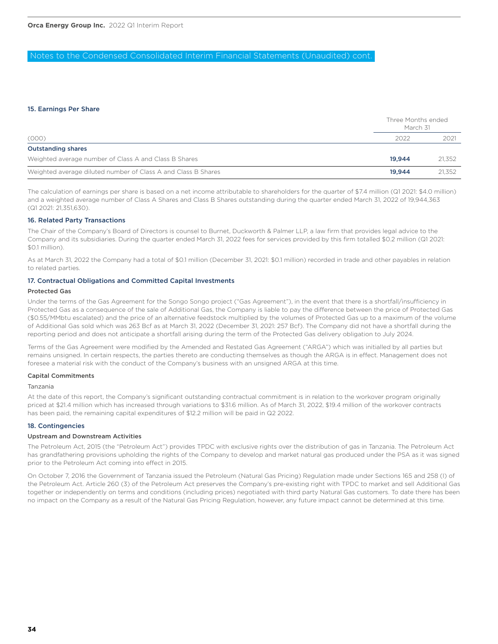### Notes to the Condensed Consolidated Interim Financial Statements (Unaudited) cont.

### 15. Earnings Per Share

|                                                               | Three Months ended<br>March 31 |        |
|---------------------------------------------------------------|--------------------------------|--------|
| (000)                                                         | 2022                           | 2021   |
| <b>Outstanding shares</b>                                     |                                |        |
| Weighted average number of Class A and Class B Shares         | 19.944                         | 21.352 |
| Weighted average diluted number of Class A and Class B Shares | 19.944                         | 21.352 |

The calculation of earnings per share is based on a net income attributable to shareholders for the quarter of \$7.4 million (Q1 2021: \$4.0 million) and a weighted average number of Class A Shares and Class B Shares outstanding during the quarter ended March 31, 2022 of 19,944,363 (Q1 2021: 21,351,630).

### 16. Related Party Transactions

The Chair of the Company's Board of Directors is counsel to Burnet, Duckworth & Palmer LLP, a law firm that provides legal advice to the Company and its subsidiaries. During the quarter ended March 31, 2022 fees for services provided by this firm totalled \$0.2 million (Q1 2021: \$0.1 million).

As at March 31, 2022 the Company had a total of \$0.1 million (December 31, 2021: \$0.1 million) recorded in trade and other payables in relation to related parties.

### 17. Contractual Obligations and Committed Capital Investments

### Protected Gas

Under the terms of the Gas Agreement for the Songo Songo project ("Gas Agreement"), in the event that there is a shortfall/insufficiency in Protected Gas as a consequence of the sale of Additional Gas, the Company is liable to pay the difference between the price of Protected Gas (\$0.55/MMbtu escalated) and the price of an alternative feedstock multiplied by the volumes of Protected Gas up to a maximum of the volume of Additional Gas sold which was 263 Bcf as at March 31, 2022 (December 31, 2021: 257 Bcf). The Company did not have a shortfall during the reporting period and does not anticipate a shortfall arising during the term of the Protected Gas delivery obligation to July 2024.

Terms of the Gas Agreement were modified by the Amended and Restated Gas Agreement ("ARGA") which was initialled by all parties but remains unsigned. In certain respects, the parties thereto are conducting themselves as though the ARGA is in effect. Management does not foresee a material risk with the conduct of the Company's business with an unsigned ARGA at this time.

### Capital Commitments

### Tanzania

At the date of this report, the Company's significant outstanding contractual commitment is in relation to the workover program originally priced at \$21.4 million which has increased through variations to \$31.6 million. As of March 31, 2022, \$19.4 million of the workover contracts has been paid, the remaining capital expenditures of \$12.2 million will be paid in Q2 2022.

### 18. Contingencies

### Upstream and Downstream Activities

The Petroleum Act, 2015 (the "Petroleum Act") provides TPDC with exclusive rights over the distribution of gas in Tanzania. The Petroleum Act has grandfathering provisions upholding the rights of the Company to develop and market natural gas produced under the PSA as it was signed prior to the Petroleum Act coming into effect in 2015.

On October 7, 2016 the Government of Tanzania issued the Petroleum (Natural Gas Pricing) Regulation made under Sections 165 and 258 (I) of the Petroleum Act. Article 260 (3) of the Petroleum Act preserves the Company's pre-existing right with TPDC to market and sell Additional Gas together or independently on terms and conditions (including prices) negotiated with third party Natural Gas customers. To date there has been no impact on the Company as a result of the Natural Gas Pricing Regulation, however, any future impact cannot be determined at this time.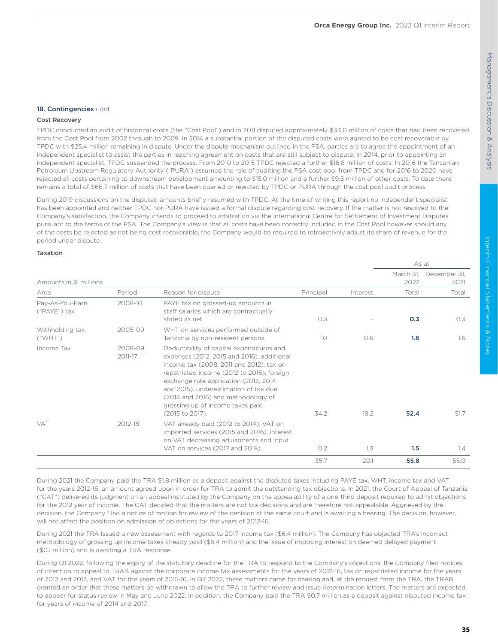| 18. Contingencies cont. |  |
|-------------------------|--|
|                         |  |

### Cost Recovery

TPDC conducted an audit of historical costs (the "Cost Pool") and in 2011 disputed approximately \$34.0 million of costs that had been recovered from the Cost Pool from 2002 through to 2009. In 2014 a substantial portion of the disputed costs were agreed to be cost recoverable by TPDC with \$25.4 million remaining in dispute. Under the dispute mechanism outlined in the PSA, parties are to agree the appointment of an independent specialist to assist the parties in reaching agreement on costs that are still subject to dispute. In 2014, prior to appointing an independent specialist, TPDC suspended the process. From 2010 to 2015 TPDC rejected a further \$16.8 million of costs. In 2016 the Tanzanian Petroleum Upstream Regulatory Authority ("PURA") assumed the role of auditing the PSA cost pool from TPDC and for 2016 to 2020 have rejected all costs pertaining to downstream development amounting to \$15.0 million and a further \$9.5 million of other costs. To date there remains a total of \$66.7 million of costs that have been queried or rejected by TPDC or PURA through the cost pool audit process.

During 2019 discussions on the disputed amounts briefly resumed with TPDC. At the time of writing this report no independent specialist has been appointed and neither TPDC nor PURA have issued a formal dispute regarding cost recovery. If the matter is not resolved to the Company's satisfaction, the Company intends to proceed to arbitration via the International Centre for Settlement of Investment Disputes pursuant to the terms of the PSA. The Company's view is that all costs have been correctly included in the Cost Pool however should any of the costs be rejected as not being cost recoverable, the Company would be required to retroactively adjust its share of revenue for the period under dispute.

### Taxation

|                                 |                     |                                                                                                                                                                                                                                                                                                                                                                   |           |          |                   | As at                |
|---------------------------------|---------------------|-------------------------------------------------------------------------------------------------------------------------------------------------------------------------------------------------------------------------------------------------------------------------------------------------------------------------------------------------------------------|-----------|----------|-------------------|----------------------|
| Amounts in \$' millions         |                     |                                                                                                                                                                                                                                                                                                                                                                   |           |          | March 31,<br>2022 | December 31,<br>2021 |
| Area                            | Period              | Reason for dispute                                                                                                                                                                                                                                                                                                                                                | Principal | Interest | Total             | Total                |
| Pay-As-You-Earn<br>("PAYE") tax | 2008-10             | PAYE tax on grossed-up amounts in<br>staff salaries which are contractually<br>stated as net.                                                                                                                                                                                                                                                                     | 0.3       |          | 0.3               | O.3                  |
| Withholding tax<br>("WHT")      | 2005-09             | WHT on services performed outside of<br>Tanzania by non-resident persons.                                                                                                                                                                                                                                                                                         | 1.0       | 0.6      | 1.6               | 1.6                  |
| Income Tax                      | 2008-09,<br>2011-17 | Deductibility of capital expenditures and<br>expenses (2012, 2015 and 2016), additional<br>income tax (2008, 2011 and 2012), tax on<br>repatriated income (2012 to 2016), foreign<br>exchange rate application (2013, 2014)<br>and 2015), underestimation of tax due<br>(2014 and 2016) and methodology of<br>grossing up of income taxes paid<br>(2015 to 2017). | 34.2      | 18.2     | 52.4              | 51.7                 |
| <b>VAT</b>                      | 2012-18             | VAT already paid (2012 to 2014), VAT on<br>imported services (2015 and 2016), interest<br>on VAT decreasing adjustments and input<br>VAT on services (2017 and 2018).                                                                                                                                                                                             | O.2       | 1.3      | 1.5               | 1.4                  |
|                                 |                     |                                                                                                                                                                                                                                                                                                                                                                   | 35.7      | 20.1     | 55.8              | 55.0                 |

During 2021 the Company paid the TRA \$1.8 million as a deposit against the disputed taxes including PAYE tax, WHT, income tax and VAT for the years 2012-16, an amount agreed upon in order for TRA to admit the outstanding tax objections. In 2021, the Court of Appeal of Tanzania ("CAT") delivered its judgment on an appeal instituted by the Company on the appealability of a one-third deposit required to admit objections for the 2012 year of income. The CAT decided that the matters are not tax decisions and are therefore not appealable. Aggrieved by the decision, the Company filed a notice of motion for review of the decision at the same court and is awaiting a hearing. The decision, however, will not affect the position on admission of objections for the years of 2012-16.

During 2021 the TRA issued a new assessment with regards to 2017 income tax (\$6.4 million). The Company has objected TRA's incorrect methodology of grossing up income taxes already paid (\$6.4 million) and the issue of imposing interest on deemed delayed payment (\$0.1 million) and is awaiting a TRA response.

During Q1 2022, following the expiry of the statutory deadline for the TRA to respond to the Company's objections, the Company filed notices of intention to appeal to TRAB against the corporate income tax assessments for the years of 2012-16, tax on repatriated income for the years of 2012 and 2013, and VAT for the years of 2015-16. In Q2 2022, these matters came for hearing and, at the request from the TRA, the TRAB granted an order that these matters be withdrawn to allow the TRA to further review and issue determination letters. The matters are expected to appear for status review in May and June 2022. In addition, the Company paid the TRA \$0.7 million as a deposit against disputed income tax for years of income of 2014 and 2017.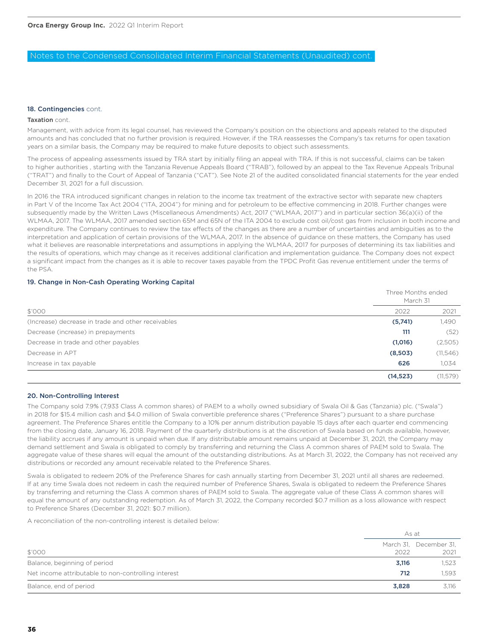### Notes to the Condensed Consolidated Interim Financial Statements (Unaudited) cont.

### 18. Contingencies cont.

### Taxation cont.

Management, with advice from its legal counsel, has reviewed the Company's position on the objections and appeals related to the disputed amounts and has concluded that no further provision is required. However, if the TRA reassesses the Company's tax returns for open taxation years on a similar basis, the Company may be required to make future deposits to object such assessments.

The process of appealing assessments issued by TRA start by initially filing an appeal with TRA. If this is not successful, claims can be taken to higher authorities , starting with the Tanzania Revenue Appeals Board ("TRAB"), followed by an appeal to the Tax Revenue Appeals Tribunal ("TRAT") and finally to the Court of Appeal of Tanzania ("CAT"). See Note 21 of the audited consolidated financial statements for the year ended December 31, 2021 for a full discussion.

In 2016 the TRA introduced significant changes in relation to the income tax treatment of the extractive sector with separate new chapters in Part V of the Income Tax Act 2004 ("ITA, 2004") for mining and for petroleum to be effective commencing in 2018. Further changes were subsequently made by the Written Laws (Miscellaneous Amendments) Act, 2017 ("WLMAA, 2017") and in particular section 36(a)(ii) of the WLMAA, 2017. The WLMAA, 2017 amended section 65M and 65N of the ITA 2004 to exclude cost oil/cost gas from inclusion in both income and expenditure. The Company continues to review the tax effects of the changes as there are a number of uncertainties and ambiguities as to the interpretation and application of certain provisions of the WLMAA, 2017. In the absence of guidance on these matters, the Company has used what it believes are reasonable interpretations and assumptions in applying the WLMAA, 2017 for purposes of determining its tax liabilities and the results of operations, which may change as it receives additional clarification and implementation guidance. The Company does not expect a significant impact from the changes as it is able to recover taxes payable from the TPDC Profit Gas revenue entitlement under the terms of the PSA.

### 19. Change in Non-Cash Operating Working Capital

|                                                    | Three Months ended<br>March 31 |           |
|----------------------------------------------------|--------------------------------|-----------|
| \$'000                                             | 2022                           | 2021      |
| (Increase) decrease in trade and other receivables | (5,741)                        | 1,490     |
| Decrease (increase) in prepayments                 | 111                            | (52)      |
| Decrease in trade and other payables               | (1,016)                        | (2,505)   |
| Decrease in APT                                    | (8,503)                        | (11,546)  |
| Increase in tax payable                            | 626                            | 1,034     |
|                                                    | (14, 523)                      | (11, 579) |

### 20. Non-Controlling Interest

The Company sold 7.9% (7,933 Class A common shares) of PAEM to a wholly owned subsidiary of Swala Oil & Gas (Tanzania) plc. ("Swala") in 2018 for \$15.4 million cash and \$4.0 million of Swala convertible preference shares ("Preference Shares") pursuant to a share purchase agreement. The Preference Shares entitle the Company to a 10% per annum distribution payable 15 days after each quarter end commencing from the closing date, January 16, 2018. Payment of the quarterly distributions is at the discretion of Swala based on funds available, however, the liability accrues if any amount is unpaid when due. If any distributable amount remains unpaid at December 31, 2021, the Company may demand settlement and Swala is obligated to comply by transferring and returning the Class A common shares of PAEM sold to Swala. The aggregate value of these shares will equal the amount of the outstanding distributions. As at March 31, 2022, the Company has not received any distributions or recorded any amount receivable related to the Preference Shares.

Swala is obligated to redeem 20% of the Preference Shares for cash annually starting from December 31, 2021 until all shares are redeemed. If at any time Swala does not redeem in cash the required number of Preference Shares, Swala is obligated to redeem the Preference Shares by transferring and returning the Class A common shares of PAEM sold to Swala. The aggregate value of these Class A common shares will equal the amount of any outstanding redemption. As of March 31, 2022, the Company recorded \$0.7 million as a loss allowance with respect to Preference Shares (December 31, 2021: \$0.7 million).

A reconciliation of the non-controlling interest is detailed below:

|                                                     | As at |                        |
|-----------------------------------------------------|-------|------------------------|
|                                                     |       | March 31, December 31, |
| \$'000                                              | 2022  | 2021                   |
| Balance, beginning of period                        | 3,116 | 1,523                  |
| Net income attributable to non-controlling interest | 712   | 1.593                  |
| Balance, end of period                              | 3.828 | 3.116                  |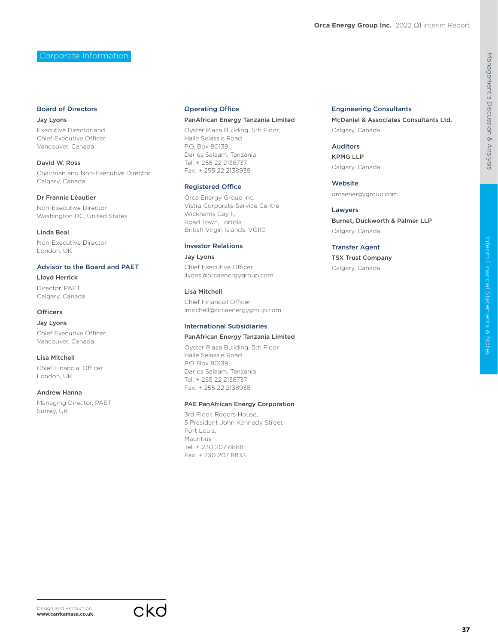CKO



# Interim Financial Statements & Notes

**37**

Corporate Information

### Board of Directors

Jay Lyons Executive Director and Chief Executive Officer Vancouver, Canada

David W. Ross Chairman and Non-Executive Director Calgary, Canada

### Dr Frannie Léautier

Non-Executive Director Washington DC, United States

Linda Beal Non-Executive Director London, UK

### Advisor to the Board and PAET

Lloyd Herrick Director, PAET Calgary, Canada

### **Officers**

Jay Lyons Chief Executive Officer Vancouver, Canada

Lisa Mitchell

Chief Financial Officer London, UK

### Andrew Hanna

Managing Director, PAET Surrey, UK

### Operating Office

### PanAfrican Energy Tanzania Limited

Oyster Plaza Building, 5th Floor, Haile Selassie Road P.O. Box 80139, Dar es Salaam, Tanzania Tel: + 255 22 2138737 Fax: + 255 22 2138938

### Registered Office

Orca Energy Group Inc. Vistra Corporate Service Centre Wickhams Cay II, Road Town, Tortola British Virgin Islands, VG110

### Investor Relations

Jay Lyons Chief Executive Officer jlyons@orcaenergygroup.com

### Lisa Mitchell

Chief Financial Officer lmitchell@orcaenergygroup.com

### International Subsidiaries

### PanAfrican Energy Tanzania Limited

Oyster Plaza Building, 5th Floor Haile Selassie Road P.O. Box 80139, Dar es Salaam, Tanzania Tel: + 255 22 2138737 Fax: + 255 22 2138938

### PAE PanAfrican Energy Corporation

3rd Floor, Rogers House, 5 President John Kennedy Street Port Louis, Mauritius Tel: + 230 207 8888 Fax: + 230 207 8833

### Engineering Consultants

McDaniel & Associates Consultants Ltd. Calgary, Canada

### Auditors

KPMG LLP Calgary, Canada

Website orcaenergygroup.com

Lawyers Burnet, Duckworth & Palmer LLP Calgary, Canada

### Transfer Agent

TSX Trust Company Calgary, Canada